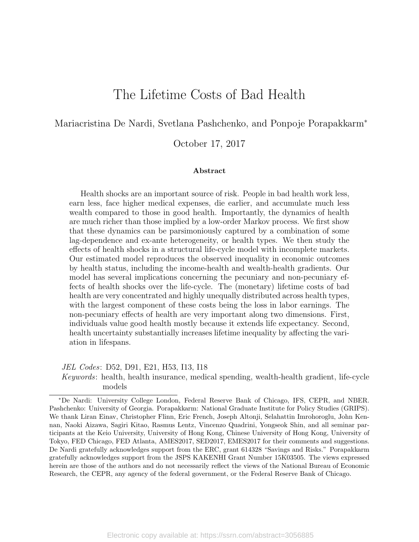# The Lifetime Costs of Bad Health

Mariacristina De Nardi, Svetlana Pashchenko, and Ponpoje Porapakkarm<sup>∗</sup>

October 17, 2017

#### Abstract

Health shocks are an important source of risk. People in bad health work less, earn less, face higher medical expenses, die earlier, and accumulate much less wealth compared to those in good health. Importantly, the dynamics of health are much richer than those implied by a low-order Markov process. We first show that these dynamics can be parsimoniously captured by a combination of some lag-dependence and ex-ante heterogeneity, or health types. We then study the effects of health shocks in a structural life-cycle model with incomplete markets. Our estimated model reproduces the observed inequality in economic outcomes by health status, including the income-health and wealth-health gradients. Our model has several implications concerning the pecuniary and non-pecuniary effects of health shocks over the life-cycle. The (monetary) lifetime costs of bad health are very concentrated and highly unequally distributed across health types, with the largest component of these costs being the loss in labor earnings. The non-pecuniary effects of health are very important along two dimensions. First, individuals value good health mostly because it extends life expectancy. Second, health uncertainty substantially increases lifetime inequality by affecting the variation in lifespans.

JEL Codes: D52, D91, E21, H53, I13, I18 Keywords: health, health insurance, medical spending, wealth-health gradient, life-cycle models

<sup>∗</sup>De Nardi: University College London, Federal Reserve Bank of Chicago, IFS, CEPR, and NBER. Pashchenko: University of Georgia. Porapakkarm: National Graduate Institute for Policy Studies (GRIPS). We thank Liran Einav, Christopher Flinn, Eric French, Joseph Altonji, Selahattin Imrohoroglu, John Kennan, Naoki Aizawa, Sagiri Kitao, Rasmus Lentz, Vincenzo Quadrini, Yongseok Shin, and all seminar participants at the Keio University, University of Hong Kong, Chinese University of Hong Kong, University of Tokyo, FED Chicago, FED Atlanta, AMES2017, SED2017, EMES2017 for their comments and suggestions. De Nardi gratefully acknowledges support from the ERC, grant 614328 "Savings and Risks." Porapakkarm gratefully acknowledges support from the JSPS KAKENHI Grant Number 15K03505. The views expressed herein are those of the authors and do not necessarily reflect the views of the National Bureau of Economic Research, the CEPR, any agency of the federal government, or the Federal Reserve Bank of Chicago.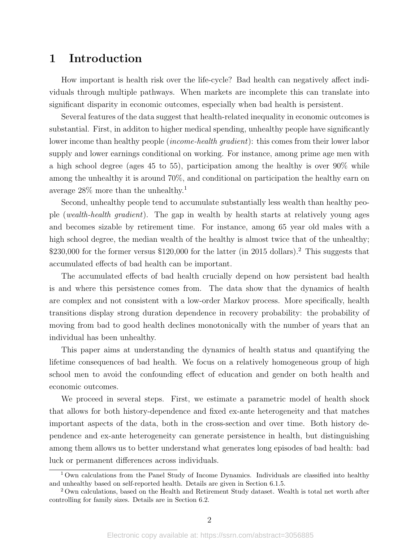## 1 Introduction

How important is health risk over the life-cycle? Bad health can negatively affect individuals through multiple pathways. When markets are incomplete this can translate into significant disparity in economic outcomes, especially when bad health is persistent.

Several features of the data suggest that health-related inequality in economic outcomes is substantial. First, in additon to higher medical spending, unhealthy people have significantly lower income than healthy people *(income-health gradient)*: this comes from their lower labor supply and lower earnings conditional on working. For instance, among prime age men with a high school degree (ages 45 to 55), participation among the healthy is over 90% while among the unhealthy it is around 70%, and conditional on participation the healthy earn on average 28% more than the unhealthy.<sup>1</sup>

Second, unhealthy people tend to accumulate substantially less wealth than healthy people (wealth-health gradient). The gap in wealth by health starts at relatively young ages and becomes sizable by retirement time. For instance, among 65 year old males with a high school degree, the median wealth of the healthy is almost twice that of the unhealthy;  $$230,000$  for the former versus  $$120,000$  for the latter (in 2015 dollars).<sup>2</sup> This suggests that accumulated effects of bad health can be important.

The accumulated effects of bad health crucially depend on how persistent bad health is and where this persistence comes from. The data show that the dynamics of health are complex and not consistent with a low-order Markov process. More specifically, health transitions display strong duration dependence in recovery probability: the probability of moving from bad to good health declines monotonically with the number of years that an individual has been unhealthy.

This paper aims at understanding the dynamics of health status and quantifying the lifetime consequences of bad health. We focus on a relatively homogeneous group of high school men to avoid the confounding effect of education and gender on both health and economic outcomes.

We proceed in several steps. First, we estimate a parametric model of health shock that allows for both history-dependence and fixed ex-ante heterogeneity and that matches important aspects of the data, both in the cross-section and over time. Both history dependence and ex-ante heterogeneity can generate persistence in health, but distinguishing among them allows us to better understand what generates long episodes of bad health: bad luck or permanent differences across individuals.

<sup>&</sup>lt;sup>1</sup> Own calculations from the Panel Study of Income Dynamics. Individuals are classified into healthy and unhealthy based on self-reported health. Details are given in Section 6.1.5.

<sup>&</sup>lt;sup>2</sup> Own calculations, based on the Health and Retirement Study dataset. Wealth is total net worth after controlling for family sizes. Details are in Section 6.2.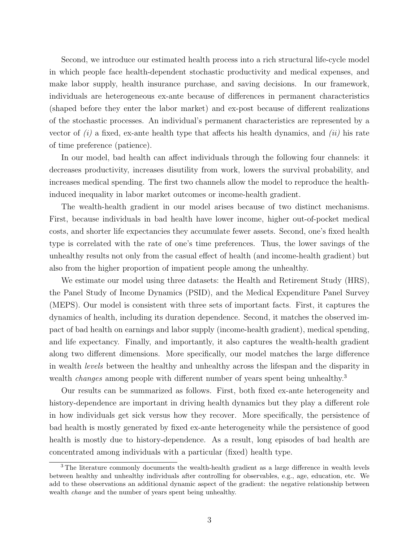Second, we introduce our estimated health process into a rich structural life-cycle model in which people face health-dependent stochastic productivity and medical expenses, and make labor supply, health insurance purchase, and saving decisions. In our framework, individuals are heterogeneous ex-ante because of differences in permanent characteristics (shaped before they enter the labor market) and ex-post because of different realizations of the stochastic processes. An individual's permanent characteristics are represented by a vector of  $(i)$  a fixed, ex-ante health type that affects his health dynamics, and  $(ii)$  his rate of time preference (patience).

In our model, bad health can affect individuals through the following four channels: it decreases productivity, increases disutility from work, lowers the survival probability, and increases medical spending. The first two channels allow the model to reproduce the healthinduced inequality in labor market outcomes or income-health gradient.

The wealth-health gradient in our model arises because of two distinct mechanisms. First, because individuals in bad health have lower income, higher out-of-pocket medical costs, and shorter life expectancies they accumulate fewer assets. Second, one's fixed health type is correlated with the rate of one's time preferences. Thus, the lower savings of the unhealthy results not only from the casual effect of health (and income-health gradient) but also from the higher proportion of impatient people among the unhealthy.

We estimate our model using three datasets: the Health and Retirement Study (HRS), the Panel Study of Income Dynamics (PSID), and the Medical Expenditure Panel Survey (MEPS). Our model is consistent with three sets of important facts. First, it captures the dynamics of health, including its duration dependence. Second, it matches the observed impact of bad health on earnings and labor supply (income-health gradient), medical spending, and life expectancy. Finally, and importantly, it also captures the wealth-health gradient along two different dimensions. More specifically, our model matches the large difference in wealth levels between the healthy and unhealthy across the lifespan and the disparity in wealth *changes* among people with different number of years spent being unhealthy.<sup>3</sup>

Our results can be summarized as follows. First, both fixed ex-ante heterogeneity and history-dependence are important in driving health dynamics but they play a different role in how individuals get sick versus how they recover. More specifically, the persistence of bad health is mostly generated by fixed ex-ante heterogeneity while the persistence of good health is mostly due to history-dependence. As a result, long episodes of bad health are concentrated among individuals with a particular (fixed) health type.

<sup>&</sup>lt;sup>3</sup> The literature commonly documents the wealth-health gradient as a large difference in wealth levels between healthy and unhealthy individuals after controlling for observables, e.g., age, education, etc. We add to these observations an additional dynamic aspect of the gradient: the negative relationship between wealth change and the number of years spent being unhealthy.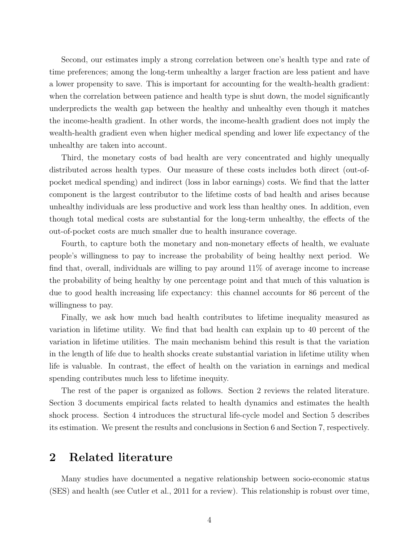Second, our estimates imply a strong correlation between one's health type and rate of time preferences; among the long-term unhealthy a larger fraction are less patient and have a lower propensity to save. This is important for accounting for the wealth-health gradient: when the correlation between patience and health type is shut down, the model significantly underpredicts the wealth gap between the healthy and unhealthy even though it matches the income-health gradient. In other words, the income-health gradient does not imply the wealth-health gradient even when higher medical spending and lower life expectancy of the unhealthy are taken into account.

Third, the monetary costs of bad health are very concentrated and highly unequally distributed across health types. Our measure of these costs includes both direct (out-ofpocket medical spending) and indirect (loss in labor earnings) costs. We find that the latter component is the largest contributor to the lifetime costs of bad health and arises because unhealthy individuals are less productive and work less than healthy ones. In addition, even though total medical costs are substantial for the long-term unhealthy, the effects of the out-of-pocket costs are much smaller due to health insurance coverage.

Fourth, to capture both the monetary and non-monetary effects of health, we evaluate people's willingness to pay to increase the probability of being healthy next period. We find that, overall, individuals are willing to pay around 11% of average income to increase the probability of being healthy by one percentage point and that much of this valuation is due to good health increasing life expectancy: this channel accounts for 86 percent of the willingness to pay.

Finally, we ask how much bad health contributes to lifetime inequality measured as variation in lifetime utility. We find that bad health can explain up to 40 percent of the variation in lifetime utilities. The main mechanism behind this result is that the variation in the length of life due to health shocks create substantial variation in lifetime utility when life is valuable. In contrast, the effect of health on the variation in earnings and medical spending contributes much less to lifetime inequity.

The rest of the paper is organized as follows. Section 2 reviews the related literature. Section 3 documents empirical facts related to health dynamics and estimates the health shock process. Section 4 introduces the structural life-cycle model and Section 5 describes its estimation. We present the results and conclusions in Section 6 and Section 7, respectively.

## 2 Related literature

Many studies have documented a negative relationship between socio-economic status (SES) and health (see Cutler et al., 2011 for a review). This relationship is robust over time,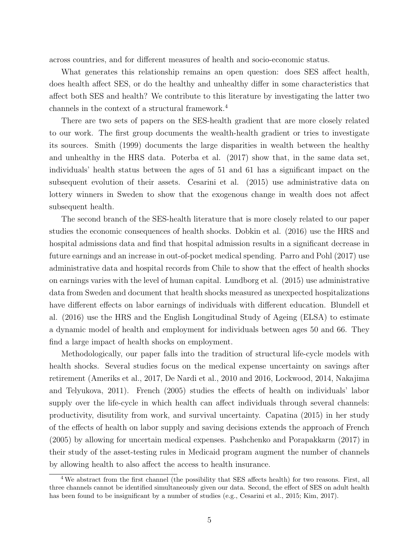across countries, and for different measures of health and socio-economic status.

What generates this relationship remains an open question: does SES affect health, does health affect SES, or do the healthy and unhealthy differ in some characteristics that affect both SES and health? We contribute to this literature by investigating the latter two channels in the context of a structural framework.<sup>4</sup>

There are two sets of papers on the SES-health gradient that are more closely related to our work. The first group documents the wealth-health gradient or tries to investigate its sources. Smith (1999) documents the large disparities in wealth between the healthy and unhealthy in the HRS data. Poterba et al. (2017) show that, in the same data set, individuals' health status between the ages of 51 and 61 has a significant impact on the subsequent evolution of their assets. Cesarini et al. (2015) use administrative data on lottery winners in Sweden to show that the exogenous change in wealth does not affect subsequent health.

The second branch of the SES-health literature that is more closely related to our paper studies the economic consequences of health shocks. Dobkin et al. (2016) use the HRS and hospital admissions data and find that hospital admission results in a significant decrease in future earnings and an increase in out-of-pocket medical spending. Parro and Pohl (2017) use administrative data and hospital records from Chile to show that the effect of health shocks on earnings varies with the level of human capital. Lundborg et al. (2015) use administrative data from Sweden and document that health shocks measured as unexpected hospitalizations have different effects on labor earnings of individuals with different education. Blundell et al. (2016) use the HRS and the English Longitudinal Study of Ageing (ELSA) to estimate a dynamic model of health and employment for individuals between ages 50 and 66. They find a large impact of health shocks on employment.

Methodologically, our paper falls into the tradition of structural life-cycle models with health shocks. Several studies focus on the medical expense uncertainty on savings after retirement (Ameriks et al., 2017, De Nardi et al., 2010 and 2016, Lockwood, 2014, Nakajima and Telyukova, 2011). French (2005) studies the effects of health on individuals' labor supply over the life-cycle in which health can affect individuals through several channels: productivity, disutility from work, and survival uncertainty. Capatina (2015) in her study of the effects of health on labor supply and saving decisions extends the approach of French (2005) by allowing for uncertain medical expenses. Pashchenko and Porapakkarm (2017) in their study of the asset-testing rules in Medicaid program augment the number of channels by allowing health to also affect the access to health insurance.

<sup>&</sup>lt;sup>4</sup> We abstract from the first channel (the possibility that SES affects health) for two reasons. First, all three channels cannot be identified simultaneously given our data. Second, the effect of SES on adult health has been found to be insignificant by a number of studies (e.g., Cesarini et al., 2015; Kim, 2017).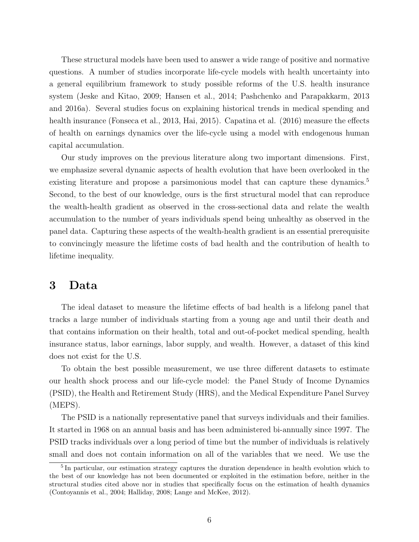These structural models have been used to answer a wide range of positive and normative questions. A number of studies incorporate life-cycle models with health uncertainty into a general equilibrium framework to study possible reforms of the U.S. health insurance system (Jeske and Kitao, 2009; Hansen et al., 2014; Pashchenko and Parapakkarm, 2013 and 2016a). Several studies focus on explaining historical trends in medical spending and health insurance (Fonseca et al., 2013, Hai, 2015). Capatina et al. (2016) measure the effects of health on earnings dynamics over the life-cycle using a model with endogenous human capital accumulation.

Our study improves on the previous literature along two important dimensions. First, we emphasize several dynamic aspects of health evolution that have been overlooked in the existing literature and propose a parsimonious model that can capture these dynamics.<sup>5</sup> Second, to the best of our knowledge, ours is the first structural model that can reproduce the wealth-health gradient as observed in the cross-sectional data and relate the wealth accumulation to the number of years individuals spend being unhealthy as observed in the panel data. Capturing these aspects of the wealth-health gradient is an essential prerequisite to convincingly measure the lifetime costs of bad health and the contribution of health to lifetime inequality.

## 3 Data

The ideal dataset to measure the lifetime effects of bad health is a lifelong panel that tracks a large number of individuals starting from a young age and until their death and that contains information on their health, total and out-of-pocket medical spending, health insurance status, labor earnings, labor supply, and wealth. However, a dataset of this kind does not exist for the U.S.

To obtain the best possible measurement, we use three different datasets to estimate our health shock process and our life-cycle model: the Panel Study of Income Dynamics (PSID), the Health and Retirement Study (HRS), and the Medical Expenditure Panel Survey (MEPS).

The PSID is a nationally representative panel that surveys individuals and their families. It started in 1968 on an annual basis and has been administered bi-annually since 1997. The PSID tracks individuals over a long period of time but the number of individuals is relatively small and does not contain information on all of the variables that we need. We use the

<sup>&</sup>lt;sup>5</sup>In particular, our estimation strategy captures the duration dependence in health evolution which to the best of our knowledge has not been documented or exploited in the estimation before, neither in the structural studies cited above nor in studies that specifically focus on the estimation of health dynamics (Contoyannis et al., 2004; Halliday, 2008; Lange and McKee, 2012).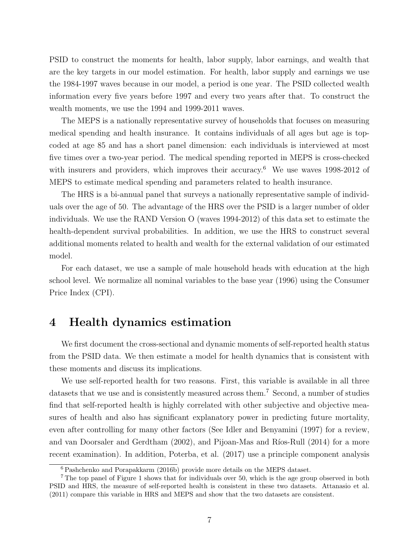PSID to construct the moments for health, labor supply, labor earnings, and wealth that are the key targets in our model estimation. For health, labor supply and earnings we use the 1984-1997 waves because in our model, a period is one year. The PSID collected wealth information every five years before 1997 and every two years after that. To construct the wealth moments, we use the 1994 and 1999-2011 waves.

The MEPS is a nationally representative survey of households that focuses on measuring medical spending and health insurance. It contains individuals of all ages but age is topcoded at age 85 and has a short panel dimension: each individuals is interviewed at most five times over a two-year period. The medical spending reported in MEPS is cross-checked with insurers and providers, which improves their accuracy.<sup>6</sup> We use waves 1998-2012 of MEPS to estimate medical spending and parameters related to health insurance.

The HRS is a bi-annual panel that surveys a nationally representative sample of individuals over the age of 50. The advantage of the HRS over the PSID is a larger number of older individuals. We use the RAND Version O (waves 1994-2012) of this data set to estimate the health-dependent survival probabilities. In addition, we use the HRS to construct several additional moments related to health and wealth for the external validation of our estimated model.

For each dataset, we use a sample of male household heads with education at the high school level. We normalize all nominal variables to the base year (1996) using the Consumer Price Index (CPI).

## 4 Health dynamics estimation

We first document the cross-sectional and dynamic moments of self-reported health status from the PSID data. We then estimate a model for health dynamics that is consistent with these moments and discuss its implications.

We use self-reported health for two reasons. First, this variable is available in all three datasets that we use and is consistently measured across them.<sup>7</sup> Second, a number of studies find that self-reported health is highly correlated with other subjective and objective measures of health and also has significant explanatory power in predicting future mortality, even after controlling for many other factors (See Idler and Benyamini (1997) for a review, and van Doorsaler and Gerdtham  $(2002)$ , and Pijoan-Mas and Ríos-Rull  $(2014)$  for a more recent examination). In addition, Poterba, et al. (2017) use a principle component analysis

<sup>6</sup> Pashchenko and Porapakkarm (2016b) provide more details on the MEPS dataset.

<sup>&</sup>lt;sup>7</sup> The top panel of Figure 1 shows that for individuals over 50, which is the age group observed in both PSID and HRS, the measure of self-reported health is consistent in these two datasets. Attanasio et al. (2011) compare this variable in HRS and MEPS and show that the two datasets are consistent.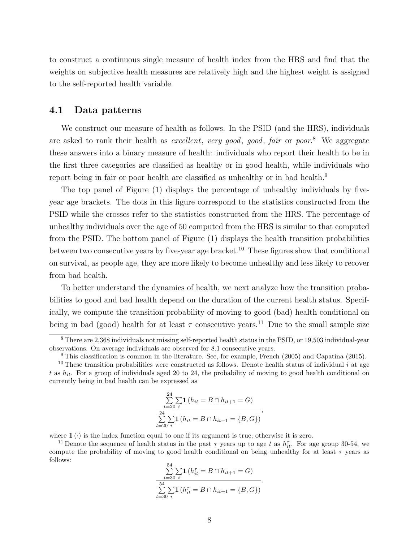to construct a continuous single measure of health index from the HRS and find that the weights on subjective health measures are relatively high and the highest weight is assigned to the self-reported health variable.

## 4.1 Data patterns

We construct our measure of health as follows. In the PSID (and the HRS), individuals are asked to rank their health as excellent, very good, good, fair or poor.<sup>8</sup> We aggregate these answers into a binary measure of health: individuals who report their health to be in the first three categories are classified as healthy or in good health, while individuals who report being in fair or poor health are classified as unhealthy or in bad health.<sup>9</sup>

The top panel of Figure (1) displays the percentage of unhealthy individuals by fiveyear age brackets. The dots in this figure correspond to the statistics constructed from the PSID while the crosses refer to the statistics constructed from the HRS. The percentage of unhealthy individuals over the age of 50 computed from the HRS is similar to that computed from the PSID. The bottom panel of Figure (1) displays the health transition probabilities between two consecutive years by five-year age bracket.<sup>10</sup> These figures show that conditional on survival, as people age, they are more likely to become unhealthy and less likely to recover from bad health.

To better understand the dynamics of health, we next analyze how the transition probabilities to good and bad health depend on the duration of the current health status. Specifically, we compute the transition probability of moving to good (bad) health conditional on being in bad (good) health for at least  $\tau$  consecutive years.<sup>11</sup> Due to the small sample size

$$
\frac{\sum_{t=20}^{24} \sum_{i} \mathbf{1} (h_{it} = B \cap h_{it+1} = G)}{\sum_{t=20}^{24} \sum_{i} \mathbf{1} (h_{it} = B \cap h_{it+1} = \{B, G\})},
$$

where  $1(.)$  is the index function equal to one if its argument is true; otherwise it is zero.

<sup>11</sup> Denote the sequence of health status in the past  $\tau$  years up to age t as  $h_{it}^{\tau}$ . For age group 30-54, we compute the probability of moving to good health conditional on being unhealthy for at least  $\tau$  years as follows:

$$
\frac{\sum_{t=30}^{54} \sum_{i} \mathbf{1} (h_{it}^{\tau} = B \cap h_{it+1} = G)}{\sum_{t=30}^{54} \sum_{i} \mathbf{1} (h_{it}^{\tau} = B \cap h_{it+1} = \{B, G\})}.
$$

<sup>8</sup> There are 2,368 individuals not missing self-reported health status in the PSID, or 19,503 individual-year observations. On average individuals are observed for 8.1 consecutive years.

 $9$  This classification is common in the literature. See, for example, French (2005) and Capatina (2015).

<sup>&</sup>lt;sup>10</sup> These transition probabilities were constructed as follows. Denote health status of individual  $i$  at age t as  $h_{it}$ . For a group of individuals aged 20 to 24, the probability of moving to good health conditional on currently being in bad health can be expressed as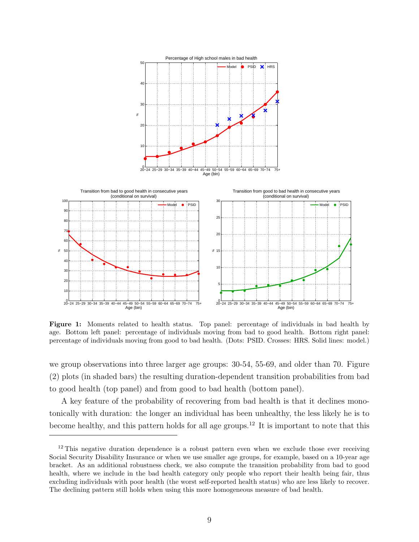

Figure 1: Moments related to health status. Top panel: percentage of individuals in bad health by age. Bottom left panel: percentage of individuals moving from bad to good health. Bottom right panel: percentage of individuals moving from good to bad health. (Dots: PSID. Crosses: HRS. Solid lines: model.)

we group observations into three larger age groups: 30-54, 55-69, and older than 70. Figure (2) plots (in shaded bars) the resulting duration-dependent transition probabilities from bad to good health (top panel) and from good to bad health (bottom panel).

A key feature of the probability of recovering from bad health is that it declines monotonically with duration: the longer an individual has been unhealthy, the less likely he is to become healthy, and this pattern holds for all age groups.<sup>12</sup> It is important to note that this

<sup>&</sup>lt;sup>12</sup> This negative duration dependence is a robust pattern even when we exclude those ever receiving Social Security Disability Insurance or when we use smaller age groups, for example, based on a 10-year age bracket. As an additional robustness check, we also compute the transition probability from bad to good health, where we include in the bad health category only people who report their health being fair, thus excluding individuals with poor health (the worst self-reported health status) who are less likely to recover. The declining pattern still holds when using this more homogeneous measure of bad health.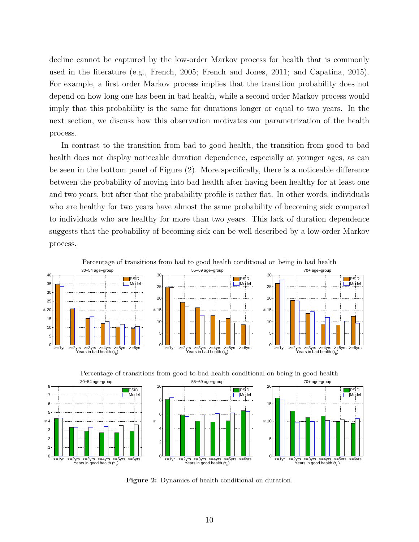decline cannot be captured by the low-order Markov process for health that is commonly used in the literature (e.g., French, 2005; French and Jones, 2011; and Capatina, 2015). For example, a first order Markov process implies that the transition probability does not depend on how long one has been in bad health, while a second order Markov process would imply that this probability is the same for durations longer or equal to two years. In the next section, we discuss how this observation motivates our parametrization of the health process.

In contrast to the transition from bad to good health, the transition from good to bad health does not display noticeable duration dependence, especially at younger ages, as can be seen in the bottom panel of Figure (2). More specifically, there is a noticeable difference between the probability of moving into bad health after having been healthy for at least one and two years, but after that the probability profile is rather flat. In other words, individuals who are healthy for two years have almost the same probability of becoming sick compared to individuals who are healthy for more than two years. This lack of duration dependence suggests that the probability of becoming sick can be well described by a low-order Markov process.



Percentage of transitions from good to bad health conditional on being in good health 70+ age−group







Figure 2: Dynamics of health conditional on duration.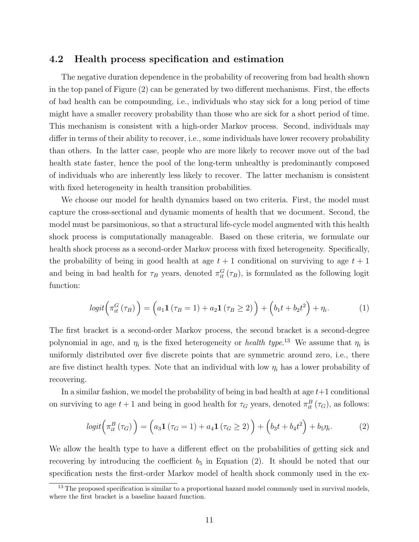#### 4.2 Health process specification and estimation

The negative duration dependence in the probability of recovering from bad health shown in the top panel of Figure (2) can be generated by two different mechanisms. First, the effects of bad health can be compounding, i.e., individuals who stay sick for a long period of time might have a smaller recovery probability than those who are sick for a short period of time. This mechanism is consistent with a high-order Markov process. Second, individuals may differ in terms of their ability to recover, i.e., some individuals have lower recovery probability than others. In the latter case, people who are more likely to recover move out of the bad health state faster, hence the pool of the long-term unhealthy is predominantly composed of individuals who are inherently less likely to recover. The latter mechanism is consistent with fixed heterogeneity in health transition probabilities.

We choose our model for health dynamics based on two criteria. First, the model must capture the cross-sectional and dynamic moments of health that we document. Second, the model must be parsimonious, so that a structural life-cycle model augmented with this health shock process is computationally manageable. Based on these criteria, we formulate our health shock process as a second-order Markov process with fixed heterogeneity. Specifically, the probability of being in good health at age  $t + 1$  conditional on surviving to age  $t + 1$ and being in bad health for  $\tau_B$  years, denoted  $\pi_{it}^G(\tau_B)$ , is formulated as the following logit function:

$$
logit\left(\pi_{it}^G(\tau_B)\right) = \left(a_1 \mathbf{1}(\tau_B = 1) + a_2 \mathbf{1}(\tau_B \ge 2)\right) + \left(b_1 t + b_2 t^2\right) + \eta_i.
$$
 (1)

The first bracket is a second-order Markov process, the second bracket is a second-degree polynomial in age, and  $\eta_i$  is the fixed heterogeneity or *health type*.<sup>13</sup> We assume that  $\eta_i$  is uniformly distributed over five discrete points that are symmetric around zero, i.e., there are five distinct health types. Note that an individual with low  $\eta_i$  has a lower probability of recovering.

In a similar fashion, we model the probability of being in bad health at age  $t+1$  conditional on surviving to age  $t + 1$  and being in good health for  $\tau_G$  years, denoted  $\pi_i^B(\tau_G)$ , as follows:

$$
logit\left(\pi_{it}^B(\tau_G)\right) = \left(a_3\mathbf{1}\left(\tau_G = 1\right) + a_4\mathbf{1}\left(\tau_G \ge 2\right)\right) + \left(b_3t + b_4t^2\right) + b_5\eta_i. \tag{2}
$$

We allow the health type to have a different effect on the probabilities of getting sick and recovering by introducing the coefficient  $b_5$  in Equation (2). It should be noted that our specification nests the first-order Markov model of health shock commonly used in the ex-

<sup>&</sup>lt;sup>13</sup> The proposed specification is similar to a proportional hazard model commonly used in survival models, where the first bracket is a baseline hazard function.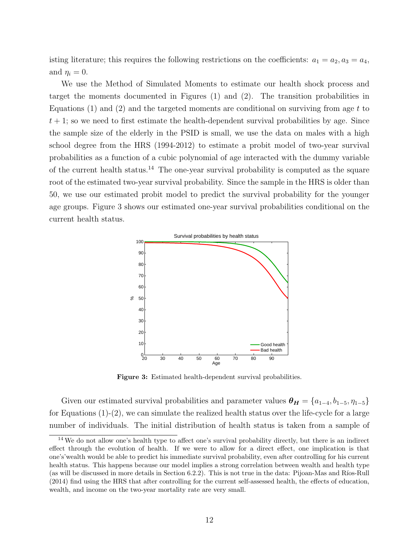isting literature; this requires the following restrictions on the coefficients:  $a_1 = a_2, a_3 = a_4$ , and  $\eta_i = 0$ .

We use the Method of Simulated Moments to estimate our health shock process and target the moments documented in Figures (1) and (2). The transition probabilities in Equations  $(1)$  and  $(2)$  and the targeted moments are conditional on surviving from age t to  $t + 1$ ; so we need to first estimate the health-dependent survival probabilities by age. Since the sample size of the elderly in the PSID is small, we use the data on males with a high school degree from the HRS (1994-2012) to estimate a probit model of two-year survival probabilities as a function of a cubic polynomial of age interacted with the dummy variable of the current health status.<sup>14</sup> The one-year survival probability is computed as the square root of the estimated two-year survival probability. Since the sample in the HRS is older than 50, we use our estimated probit model to predict the survival probability for the younger age groups. Figure 3 shows our estimated one-year survival probabilities conditional on the current health status.



Figure 3: Estimated health-dependent survival probabilities.

Given our estimated survival probabilities and parameter values  $\theta_H = \{a_{1-4}, b_{1-5}, \eta_{1-5}\}\$ for Equations  $(1)-(2)$ , we can simulate the realized health status over the life-cycle for a large number of individuals. The initial distribution of health status is taken from a sample of

<sup>14</sup> We do not allow one's health type to affect one's survival probability directly, but there is an indirect effect through the evolution of health. If we were to allow for a direct effect, one implication is that one's'wealth would be able to predict his immediate survival probability, even after controlling for his current health status. This happens because our model implies a strong correlation between wealth and health type (as will be discussed in more details in Section 6.2.2). This is not true in the data: Pijoan-Mas and Ríos-Rull (2014) find using the HRS that after controlling for the current self-assessed health, the effects of education, wealth, and income on the two-year mortality rate are very small.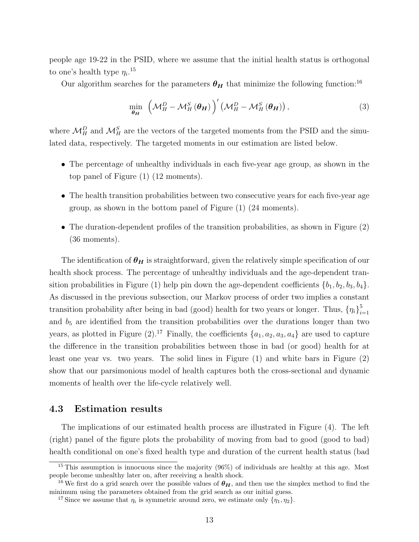people age 19-22 in the PSID, where we assume that the initial health status is orthogonal to one's health type  $\eta_i$ .<sup>15</sup>

Our algorithm searches for the parameters  $\theta_H$  that minimize the following function:<sup>16</sup>

$$
\min_{\theta_{\boldsymbol{H}}} \left( \mathcal{M}_H^D - \mathcal{M}_H^S \left( \boldsymbol{\theta}_{\boldsymbol{H}} \right) \right)' \left( \mathcal{M}_H^D - \mathcal{M}_H^S \left( \boldsymbol{\theta}_{\boldsymbol{H}} \right) \right), \tag{3}
$$

where  $\mathcal{M}_{H}^{D}$  and  $\mathcal{M}_{H}^{S}$  are the vectors of the targeted moments from the PSID and the simulated data, respectively. The targeted moments in our estimation are listed below.

- The percentage of unhealthy individuals in each five-year age group, as shown in the top panel of Figure (1) (12 moments).
- The health transition probabilities between two consecutive years for each five-year age group, as shown in the bottom panel of Figure (1) (24 moments).
- The duration-dependent profiles of the transition probabilities, as shown in Figure  $(2)$ (36 moments).

The identification of  $\theta_H$  is straightforward, given the relatively simple specification of our health shock process. The percentage of unhealthy individuals and the age-dependent transition probabilities in Figure (1) help pin down the age-dependent coefficients  $\{b_1, b_2, b_3, b_4\}$ . As discussed in the previous subsection, our Markov process of order two implies a constant transition probability after being in bad (good) health for two years or longer. Thus,  $\{\eta_i\}_i^5$  $i=1$ and  $b_5$  are identified from the transition probabilities over the durations longer than two years, as plotted in Figure (2).<sup>17</sup> Finally, the coefficients  $\{a_1, a_2, a_3, a_4\}$  are used to capture the difference in the transition probabilities between those in bad (or good) health for at least one year vs. two years. The solid lines in Figure (1) and white bars in Figure (2) show that our parsimonious model of health captures both the cross-sectional and dynamic moments of health over the life-cycle relatively well.

### 4.3 Estimation results

The implications of our estimated health process are illustrated in Figure (4). The left (right) panel of the figure plots the probability of moving from bad to good (good to bad) health conditional on one's fixed health type and duration of the current health status (bad

<sup>&</sup>lt;sup>15</sup> This assumption is innocuous since the majority (96%) of individuals are healthy at this age. Most people become unhealthy later on, after receiving a health shock.

<sup>&</sup>lt;sup>16</sup> We first do a grid search over the possible values of  $\theta_H$ , and then use the simplex method to find the minimum using the parameters obtained from the grid search as our initial guess.

<sup>&</sup>lt;sup>17</sup> Since we assume that  $\eta_i$  is symmetric around zero, we estimate only  $\{\eta_1, \eta_2\}$ .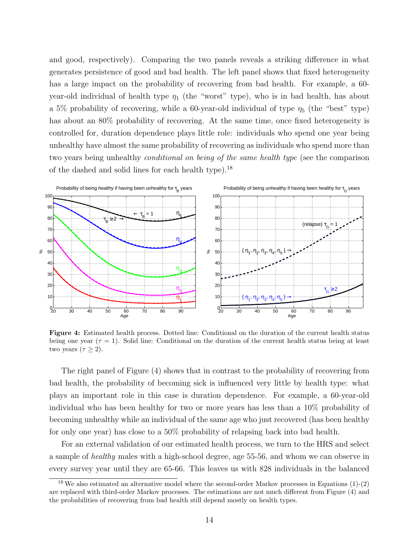and good, respectively). Comparing the two panels reveals a striking difference in what generates persistence of good and bad health. The left panel shows that fixed heterogeneity has a large impact on the probability of recovering from bad health. For example, a 60 year-old individual of health type  $\eta_1$  (the "worst" type), who is in bad health, has about a 5% probability of recovering, while a 60-year-old individual of type  $\eta_5$  (the "best" type) has about an 80% probability of recovering. At the same time, once fixed heterogeneity is controlled for, duration dependence plays little role: individuals who spend one year being unhealthy have almost the same probability of recovering as individuals who spend more than two years being unhealthy conditional on being of the same health type (see the comparison of the dashed and solid lines for each health type).<sup>18</sup>



Figure 4: Estimated health process. Dotted line: Conditional on the duration of the current health status being one year  $(\tau = 1)$ . Solid line: Conditional on the duration of the current health status being at least two years  $(\tau \geq 2)$ .

The right panel of Figure (4) shows that in contrast to the probability of recovering from bad health, the probability of becoming sick is influenced very little by health type: what plays an important role in this case is duration dependence. For example, a 60-year-old individual who has been healthy for two or more years has less than a 10% probability of becoming unhealthy while an individual of the same age who just recovered (has been healthy for only one year) has close to a 50% probability of relapsing back into bad health.

For an external validation of our estimated health process, we turn to the HRS and select a sample of healthy males with a high-school degree, age 55-56, and whom we can observe in every survey year until they are 65-66. This leaves us with 828 individuals in the balanced

 $18$  We also estimated an alternative model where the second-order Markov processes in Equations (1)-(2) are replaced with third-order Markov processes. The estimations are not much different from Figure (4) and the probabilities of recovering from bad health still depend mostly on health types.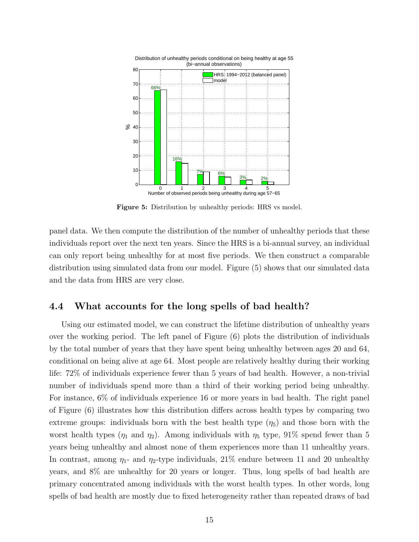

Figure 5: Distribution by unhealthy periods: HRS vs model.

panel data. We then compute the distribution of the number of unhealthy periods that these individuals report over the next ten years. Since the HRS is a bi-annual survey, an individual can only report being unhealthy for at most five periods. We then construct a comparable distribution using simulated data from our model. Figure (5) shows that our simulated data and the data from HRS are very close.

### 4.4 What accounts for the long spells of bad health?

Using our estimated model, we can construct the lifetime distribution of unhealthy years over the working period. The left panel of Figure (6) plots the distribution of individuals by the total number of years that they have spent being unhealthy between ages 20 and 64, conditional on being alive at age 64. Most people are relatively healthy during their working life: 72% of individuals experience fewer than 5 years of bad health. However, a non-trivial number of individuals spend more than a third of their working period being unhealthy. For instance, 6% of individuals experience 16 or more years in bad health. The right panel of Figure (6) illustrates how this distribution differs across health types by comparing two extreme groups: individuals born with the best health type  $(\eta_5)$  and those born with the worst health types  $(\eta_1 \text{ and } \eta_2)$ . Among individuals with  $\eta_5$  type, 91% spend fewer than 5 years being unhealthy and almost none of them experiences more than 11 unhealthy years. In contrast, among  $\eta_1$ - and  $\eta_2$ -type individuals, 21% endure between 11 and 20 unhealthy years, and 8% are unhealthy for 20 years or longer. Thus, long spells of bad health are primary concentrated among individuals with the worst health types. In other words, long spells of bad health are mostly due to fixed heterogeneity rather than repeated draws of bad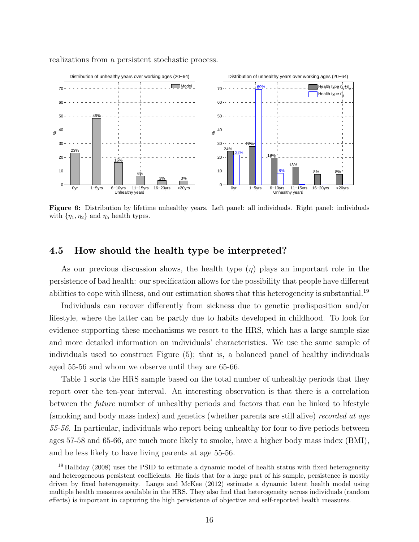

realizations from a persistent stochastic process.

Figure 6: Distribution by lifetime unhealthy years. Left panel: all individuals. Right panel: individuals with  $\{\eta_1, \eta_2\}$  and  $\eta_5$  health types.

### 4.5 How should the health type be interpreted?

As our previous discussion shows, the health type  $(\eta)$  plays an important role in the persistence of bad health: our specification allows for the possibility that people have different abilities to cope with illness, and our estimation shows that this heterogeneity is substantial.<sup>19</sup>

Individuals can recover differently from sickness due to genetic predisposition and/or lifestyle, where the latter can be partly due to habits developed in childhood. To look for evidence supporting these mechanisms we resort to the HRS, which has a large sample size and more detailed information on individuals' characteristics. We use the same sample of individuals used to construct Figure (5); that is, a balanced panel of healthy individuals aged 55-56 and whom we observe until they are 65-66.

Table 1 sorts the HRS sample based on the total number of unhealthy periods that they report over the ten-year interval. An interesting observation is that there is a correlation between the future number of unhealthy periods and factors that can be linked to lifestyle (smoking and body mass index) and genetics (whether parents are still alive) recorded at age 55-56. In particular, individuals who report being unhealthy for four to five periods between ages 57-58 and 65-66, are much more likely to smoke, have a higher body mass index (BMI), and be less likely to have living parents at age 55-56.

<sup>&</sup>lt;sup>19</sup> Halliday (2008) uses the PSID to estimate a dynamic model of health status with fixed heterogeneity and heterogeneous persistent coefficients. He finds that for a large part of his sample, persistence is mostly driven by fixed heterogeneity. Lange and McKee (2012) estimate a dynamic latent health model using multiple health measures available in the HRS. They also find that heterogeneity across individuals (random effects) is important in capturing the high persistence of objective and self-reported health measures.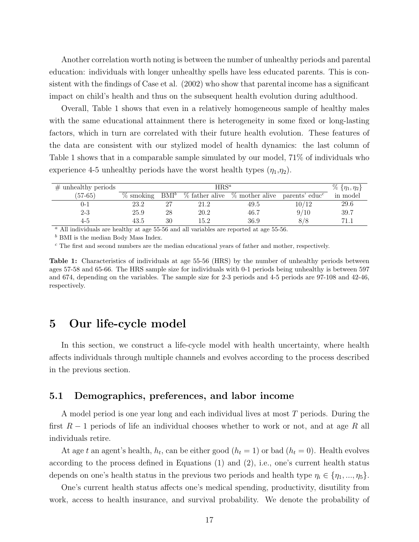Another correlation worth noting is between the number of unhealthy periods and parental education: individuals with longer unhealthy spells have less educated parents. This is consistent with the findings of Case et al. (2002) who show that parental income has a significant impact on child's health and thus on the subsequent health evolution during adulthood.

Overall, Table 1 shows that even in a relatively homogeneous sample of healthy males with the same educational attainment there is heterogeneity in some fixed or long-lasting factors, which in turn are correlated with their future health evolution. These features of the data are consistent with our stylized model of health dynamics: the last column of Table 1 shows that in a comparable sample simulated by our model, 71% of individuals who experience 4-5 unhealthy periods have the worst health types  $(\eta_1, \eta_2)$ .

| $#$ unhealthy periods |              | $\% \{\eta_1, \eta_2\}$ |      |                                     |                                               |          |
|-----------------------|--------------|-------------------------|------|-------------------------------------|-----------------------------------------------|----------|
| $(57-65)$             | $\%$ smoking | $BMI^b$                 |      | $\%$ father alive $\%$ mother alive | $\mu$ parents' educ <sup><math>c</math></sup> | in model |
| 0-1                   | 23.2         |                         | 21.2 | 49.5                                | 10/12                                         | 29.6     |
| $2 - 3$               | 25.9         | 28                      | 20.2 | 46.7                                | 9/10                                          | 39.7     |
| 4-5                   | 43.5         | 30                      | 15.2 | 36.9                                | 8/8                                           | 71.1     |

 $a$  All individuals are healthy at age 55-56 and all variables are reported at age 55-56.

 $<sup>b</sup>$  BMI is the median Body Mass Index.</sup>

 $c$  The first and second numbers are the median educational years of father and mother, respectively.

Table 1: Characteristics of individuals at age 55-56 (HRS) by the number of unhealthy periods between ages 57-58 and 65-66. The HRS sample size for individuals with 0-1 periods being unhealthy is between 597 and 674, depending on the variables. The sample size for 2-3 periods and 4-5 periods are 97-108 and 42-46, respectively.

## 5 Our life-cycle model

In this section, we construct a life-cycle model with health uncertainty, where health affects individuals through multiple channels and evolves according to the process described in the previous section.

### 5.1 Demographics, preferences, and labor income

A model period is one year long and each individual lives at most T periods. During the first  $R-1$  periods of life an individual chooses whether to work or not, and at age R all individuals retire.

At age t an agent's health,  $h_t$ , can be either good  $(h_t = 1)$  or bad  $(h_t = 0)$ . Health evolves according to the process defined in Equations  $(1)$  and  $(2)$ , i.e., one's current health status depends on one's health status in the previous two periods and health type  $\eta_i \in \{\eta_1, ..., \eta_5\}$ .

One's current health status affects one's medical spending, productivity, disutility from work, access to health insurance, and survival probability. We denote the probability of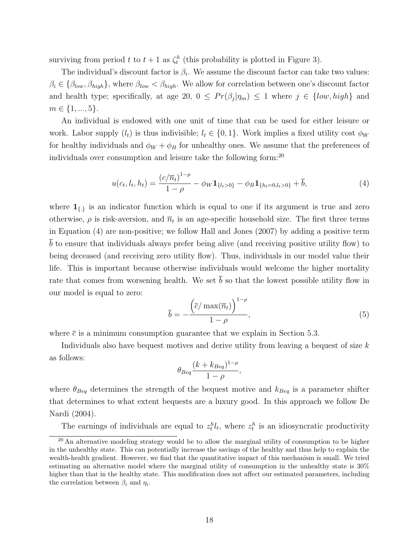surviving from period t to  $t + 1$  as  $\zeta_t^h$  (this probability is plotted in Figure 3).

The individual's discount factor is  $\beta_i$ . We assume the discount factor can take two values:  $\beta_i \in \{\beta_{low}, \beta_{high}\},$  where  $\beta_{low} < \beta_{high}$ . We allow for correlation between one's discount factor and health type; specifically, at age 20,  $0 \leq Pr(\beta_j|\eta_m) \leq 1$  where  $j \in \{low, high\}$  and  $m \in \{1, ..., 5\}.$ 

An individual is endowed with one unit of time that can be used for either leisure or work. Labor supply  $(l_t)$  is thus indivisible;  $l_t \in \{0, 1\}$ . Work implies a fixed utility cost  $\phi_W$ for healthy individuals and  $\phi_W + \phi_B$  for unhealthy ones. We assume that the preferences of individuals over consumption and leisure take the following form:<sup>20</sup>

$$
u(c_t, l_t, h_t) = \frac{(c/\overline{n}_t)^{1-\rho}}{1-\rho} - \phi_W \mathbf{1}_{\{l_t > 0\}} - \phi_B \mathbf{1}_{\{h_t = 0, l_t > 0\}} + \overline{b},
$$
\n(4)

where  $\mathbf{1}_{\{.\}}$  is an indicator function which is equal to one if its argument is true and zero otherwise,  $\rho$  is risk-aversion, and  $\bar{n}_t$  is an age-specific household size. The first three terms in Equation (4) are non-positive; we follow Hall and Jones (2007) by adding a positive term b to ensure that individuals always prefer being alive (and receiving positive utility flow) to being deceased (and receiving zero utility flow). Thus, individuals in our model value their life. This is important because otherwise individuals would welcome the higher mortality rate that comes from worsening health. We set  $\bar{b}$  so that the lowest possible utility flow in our model is equal to zero:

$$
\bar{b} = -\frac{\left(\bar{c}/\max(\bar{n}_t)\right)^{1-\rho}}{1-\rho},\tag{5}
$$

where  $\bar{c}$  is a minimum consumption guarantee that we explain in Section 5.3.

Individuals also have bequest motives and derive utility from leaving a bequest of size k as follows:

$$
\theta_{Beq} \frac{(k + k_{Beq})^{1-\rho}}{1-\rho},
$$

where  $\theta_{Beq}$  determines the strength of the bequest motive and  $k_{Beq}$  is a parameter shifter that determines to what extent bequests are a luxury good. In this approach we follow De Nardi (2004).

The earnings of individuals are equal to  $z_t^h l_t$ , where  $z_t^h$  is an idiosyncratic productivity

<sup>&</sup>lt;sup>20</sup> An alternative modeling strategy would be to allow the marginal utility of consumption to be higher in the unhealthy state. This can potentially increase the savings of the healthy and thus help to explain the wealth-health gradient. However, we find that the quantitative impact of this mechanism is small. We tried estimating an alternative model where the marginal utility of consumption in the unhealthy state is 30% higher than that in the healthy state. This modification does not affect our estimated parameters, including the correlation between  $\beta_i$  and  $\eta_i$ .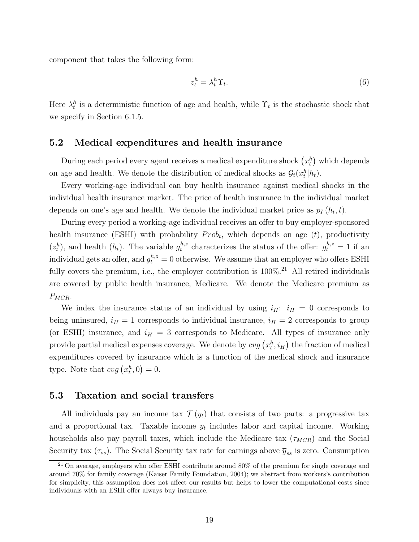component that takes the following form:

$$
z_t^h = \lambda_t^h \Upsilon_t. \tag{6}
$$

Here  $\lambda_t^h$  is a deterministic function of age and health, while  $\Upsilon_t$  is the stochastic shock that we specify in Section 6.1.5.

## 5.2 Medical expenditures and health insurance

During each period every agent receives a medical expenditure shock  $\left(x_t^h\right)$  which depends on age and health. We denote the distribution of medical shocks as  $\mathcal{G}_t(x_t^h|h_t)$ .

Every working-age individual can buy health insurance against medical shocks in the individual health insurance market. The price of health insurance in the individual market depends on one's age and health. We denote the individual market price as  $p_I(h_t, t)$ .

During every period a working-age individual receives an offer to buy employer-sponsored health insurance (ESHI) with probability  $Prob<sub>t</sub>$ , which depends on age (*t*), productivity  $(z_t^h)$ , and health  $(h_t)$ . The variable  $g_t^{h,z}$  $t^{h,z}$  characterizes the status of the offer:  $g_t^{h,z} = 1$  if an individual gets an offer, and  $g_t^{h,z} = 0$  otherwise. We assume that an employer who offers ESHI fully covers the premium, i.e., the employer contribution is  $100\%$ <sup>21</sup> All retired individuals are covered by public health insurance, Medicare. We denote the Medicare premium as  $P_{MCR}$ .

We index the insurance status of an individual by using  $i_H$ :  $i_H = 0$  corresponds to being uninsured,  $i_H = 1$  corresponds to individual insurance,  $i_H = 2$  corresponds to group (or ESHI) insurance, and  $i_H = 3$  corresponds to Medicare. All types of insurance only provide partial medical expenses coverage. We denote by  $\cos\left(x_t^h, i_H\right)$  the fraction of medical expenditures covered by insurance which is a function of the medical shock and insurance type. Note that  $cvg(x_t^h, 0) = 0$ .

### 5.3 Taxation and social transfers

All individuals pay an income tax  $\mathcal{T}(y_t)$  that consists of two parts: a progressive tax and a proportional tax. Taxable income  $y_t$  includes labor and capital income. Working households also pay payroll taxes, which include the Medicare tax  $(\tau_{MCR})$  and the Social Security tax  $(\tau_{ss})$ . The Social Security tax rate for earnings above  $\overline{y}_{ss}$  is zero. Consumption

<sup>&</sup>lt;sup>21</sup> On average, employers who offer ESHI contribute around  $80\%$  of the premium for single coverage and around 70% for family coverage (Kaiser Family Foundation, 2004); we abstract from workers's contribution for simplicity, this assumption does not affect our results but helps to lower the computational costs since individuals with an ESHI offer always buy insurance.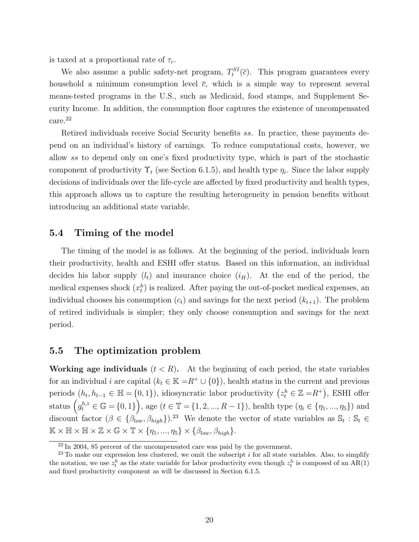is taxed at a proportional rate of  $\tau_c$ .

We also assume a public safety-net program,  $T_t^{SI}(\bar{c})$ . This program guarantees every household a minimum consumption level  $\bar{c}$ , which is a simple way to represent several means-tested programs in the U.S., such as Medicaid, food stamps, and Supplement Security Income. In addition, the consumption floor captures the existence of uncompensated care.<sup>22</sup>

Retired individuals receive Social Security benefits ss. In practice, these payments depend on an individual's history of earnings. To reduce computational costs, however, we allow ss to depend only on one's fixed productivity type, which is part of the stochastic component of productivity  $\Upsilon_t$  (see Section 6.1.5), and health type  $\eta_i$ . Since the labor supply decisions of individuals over the life-cycle are affected by fixed productivity and health types, this approach allows us to capture the resulting heterogeneity in pension benefits without introducing an additional state variable.

### 5.4 Timing of the model

The timing of the model is as follows. At the beginning of the period, individuals learn their productivity, health and ESHI offer status. Based on this information, an individual decides his labor supply  $(l_t)$  and insurance choice  $(i_H)$ . At the end of the period, the medical expenses shock  $(x_t^h)$  is realized. After paying the out-of-pocket medical expenses, an individual chooses his consumption  $(c_t)$  and savings for the next period  $(k_{t+1})$ . The problem of retired individuals is simpler; they only choose consumption and savings for the next period.

### 5.5 The optimization problem

**Working age individuals**  $(t < R)$ . At the beginning of each period, the state variables for an individual i are capital  $(k_t \in \mathbb{K} = R^+ \cup \{0\})$ , health status in the current and previous periods  $(h_t, h_{t-1} \in \mathbb{H} = \{0, 1\}),$  idiosyncratic labor productivity  $(z_t^h \in \mathbb{Z} = R^+)$ , ESHI offer status  $(g_t^{h,z} \in \mathbb{G} = \{0,1\}$ , age  $(t \in \mathbb{T} = \{1, 2, ..., R-1\})$ , health type  $(\eta_i \in \{\eta_1, ..., \eta_5\})$  and discount factor  $(\beta \in \{\beta_{low}, \beta_{high}\})$ .<sup>23</sup> We denote the vector of state variables as  $\mathbb{S}_t : \mathbb{S}_t \in$  $\mathbb{K} \times \mathbb{H} \times \mathbb{H} \times \mathbb{Z} \times \mathbb{G} \times \mathbb{T} \times \{\eta_1, ..., \eta_5\} \times \{\beta_{low}, \beta_{high}\}.$ 

 $\overline{^{22}$  In 2004, 85 percent of the uncompensated care was paid by the government.

 $23$  To make our expression less clustered, we omit the subscript i for all state variables. Also, to simplify the notation, we use  $z_t^h$  as the state variable for labor productivity even though  $z_t^h$  is composed of an AR(1) and fixed productivity component as will be discussed in Section 6.1.5.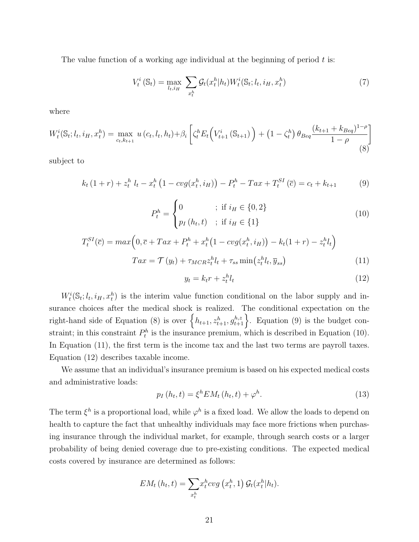The value function of a working age individual at the beginning of period  $t$  is:

$$
V_t^i\left(\mathbb{S}_t\right) = \max_{l_t, i_H} \sum_{x_t^h} \mathcal{G}_t(x_t^h|h_t) W_t^i(\mathbb{S}_t; l_t, i_H, x_t^h) \tag{7}
$$

where

$$
W_t^i(\mathbb{S}_t; l_t, i_H, x_t^h) = \max_{c_t, k_{t+1}} u(c_t, l_t, h_t) + \beta_i \left[ \zeta_t^h E_t \left( V_{t+1}^i (\mathbb{S}_{t+1}) \right) + \left( 1 - \zeta_t^h \right) \theta_{Beq} \frac{(k_{t+1} + k_{Beq})^{1-\rho}}{1-\rho} \right]
$$
\n(8)

subject to

$$
k_t (1+r) + z_t^h l_t - x_t^h (1 - cvg(x_t^h, i_H)) - P_t^h - Tax + T_t^{SI} (\bar{c}) = c_t + k_{t+1}
$$
 (9)

$$
P_t^h = \begin{cases} 0 & ; \text{ if } i_H \in \{0, 2\} \\ p_I(h_t, t) & ; \text{ if } i_H \in \{1\} \end{cases}
$$
 (10)

$$
T_t^{SI}(\overline{c}) = max\left(0, \overline{c} + Tax + P_t^h + x_t^h \left(1 - cvg(x_t^h, i_H)\right) - k_t(1+r) - z_t^h l_t\right)
$$

$$
Tax = \mathcal{T}(y_t) + \tau_{MCR} z_t^h l_t + \tau_{ss} \min\left(z_t^h l_t, \overline{y}_{ss}\right)
$$
(11)

$$
y_t = k_t r + z_t^h l_t \tag{12}
$$

 $W_t^i(\mathbb{S}_t; l_t, i_H, x_t^h)$  is the interim value function conditional on the labor supply and insurance choices after the medical shock is realized. The conditional expectation on the right-hand side of Equation (8) is over  $\left\{h_{t+1}, z_{t+1}^h, g_{t+1}^{h,z}\right\}$ . Equation (9) is the budget constraint; in this constraint  $P_t^h$  is the insurance premium, which is described in Equation (10). In Equation (11), the first term is the income tax and the last two terms are payroll taxes. Equation (12) describes taxable income.

We assume that an individual's insurance premium is based on his expected medical costs and administrative loads:

$$
p_I(h_t, t) = \xi^h EM_t(h_t, t) + \varphi^h. \tag{13}
$$

The term  $\xi^h$  is a proportional load, while  $\varphi^h$  is a fixed load. We allow the loads to depend on health to capture the fact that unhealthy individuals may face more frictions when purchasing insurance through the individual market, for example, through search costs or a larger probability of being denied coverage due to pre-existing conditions. The expected medical costs covered by insurance are determined as follows:

$$
EM_t(h_t, t) = \sum_{x_t^h} x_t^h c v g\left(x_t^h, 1\right) \mathcal{G}_t(x_t^h|h_t).
$$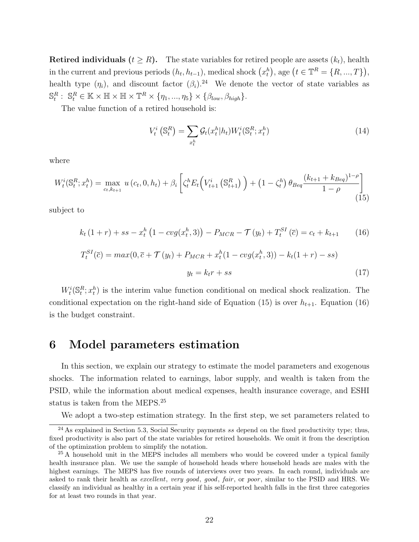**Retired individuals**  $(t \geq R)$ . The state variables for retired people are assets  $(k_t)$ , health in the current and previous periods  $(h_t, h_{t-1})$ , medical shock  $(x_t^h)$ , age  $(t \in \mathbb{T}^R = \{R, ..., T\})$ , health type  $(\eta_i)$ , and discount factor  $(\beta_i)^{24}$ . We denote the vector of state variables as  $\mathbb{S}_t^R$ :  $\mathbb{S}_t^R \in \mathbb{K} \times \mathbb{H} \times \mathbb{H} \times \mathbb{T}^R \times \{\eta_1, ..., \eta_5\} \times \{\beta_{low}, \beta_{high}\}.$ 

The value function of a retired household is:

$$
V_t^i\left(\mathbb{S}_t^R\right) = \sum_{x_t^h} \mathcal{G}_t(x_t^h|h_t) W_t^i(\mathbb{S}_t^R; x_t^h)
$$
\n(14)

where

$$
W_t^i(\mathbb{S}_t^R; x_t^h) = \max_{c_t, k_{t+1}} u(c_t, 0, h_t) + \beta_i \left[ \zeta_t^h E_t \left( V_{t+1}^i \left( \mathbb{S}_{t+1}^R \right) \right) + \left( 1 - \zeta_t^h \right) \theta_{Beq} \frac{(k_{t+1} + k_{Beq})^{1-\rho}}{1-\rho} \right] \tag{15}
$$

subject to

$$
k_t(1+r) + ss - x_t^h(1 - cvg(x_t^h, 3)) - P_{MCR} - \mathcal{T}(y_t) + T_t^{SI}(\bar{c}) = c_t + k_{t+1}
$$
 (16)

$$
T_t^{SI}(\overline{c}) = max(0, \overline{c} + \mathcal{T}(y_t) + P_{MCR} + x_t^h(1 - cvg(x_t^h, 3)) - k_t(1+r) - ss)
$$

$$
y_t = k_t r + ss
$$
(17)

 $W_t^i(\mathbb{S}_t^R; x_t^h)$  is the interim value function conditional on medical shock realization. The conditional expectation on the right-hand side of Equation (15) is over  $h_{t+1}$ . Equation (16) is the budget constraint.

## 6 Model parameters estimation

In this section, we explain our strategy to estimate the model parameters and exogenous shocks. The information related to earnings, labor supply, and wealth is taken from the PSID, while the information about medical expenses, health insurance coverage, and ESHI status is taken from the MEPS.<sup>25</sup>

We adopt a two-step estimation strategy. In the first step, we set parameters related to

 $^{24}$  As explained in Section 5.3, Social Security payments ss depend on the fixed productivity type; thus, fixed productivity is also part of the state variables for retired households. We omit it from the description of the optimization problem to simplify the notation.

<sup>&</sup>lt;sup>25</sup> A household unit in the MEPS includes all members who would be covered under a typical family health insurance plan. We use the sample of household heads where household heads are males with the highest earnings. The MEPS has five rounds of interviews over two years. In each round, individuals are asked to rank their health as excellent, very good, good, fair, or poor, similar to the PSID and HRS. We classify an individual as healthy in a certain year if his self-reported health falls in the first three categories for at least two rounds in that year.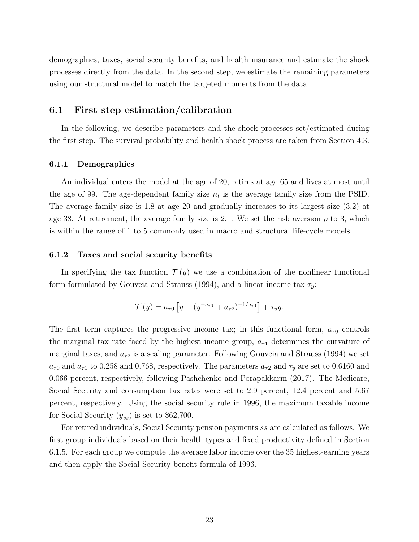demographics, taxes, social security benefits, and health insurance and estimate the shock processes directly from the data. In the second step, we estimate the remaining parameters using our structural model to match the targeted moments from the data.

## 6.1 First step estimation/calibration

In the following, we describe parameters and the shock processes set/estimated during the first step. The survival probability and health shock process are taken from Section 4.3.

#### 6.1.1 Demographics

An individual enters the model at the age of 20, retires at age 65 and lives at most until the age of 99. The age-dependent family size  $\overline{n}_t$  is the average family size from the PSID. The average family size is 1.8 at age 20 and gradually increases to its largest size (3.2) at age 38. At retirement, the average family size is 2.1. We set the risk aversion  $\rho$  to 3, which is within the range of 1 to 5 commonly used in macro and structural life-cycle models.

#### 6.1.2 Taxes and social security benefits

In specifying the tax function  $\mathcal{T}(y)$  we use a combination of the nonlinear functional form formulated by Gouveia and Strauss (1994), and a linear income tax  $\tau_y$ :

$$
\mathcal{T}(y) = a_{\tau 0} \left[ y - (y^{-a_{\tau 1}} + a_{\tau 2})^{-1/a_{\tau 1}} \right] + \tau_y y.
$$

The first term captures the progressive income tax; in this functional form,  $a_{\tau0}$  controls the marginal tax rate faced by the highest income group,  $a_{\tau1}$  determines the curvature of marginal taxes, and  $a_{\tau2}$  is a scaling parameter. Following Gouveia and Strauss (1994) we set  $a_{\tau0}$  and  $a_{\tau1}$  to 0.258 and 0.768, respectively. The parameters  $a_{\tau2}$  and  $\tau_y$  are set to 0.6160 and 0.066 percent, respectively, following Pashchenko and Porapakkarm (2017). The Medicare, Social Security and consumption tax rates were set to 2.9 percent, 12.4 percent and 5.67 percent, respectively. Using the social security rule in 1996, the maximum taxable income for Social Security  $(\overline{y}_{ss})$  is set to \$62,700.

For retired individuals, Social Security pension payments ss are calculated as follows. We first group individuals based on their health types and fixed productivity defined in Section 6.1.5. For each group we compute the average labor income over the 35 highest-earning years and then apply the Social Security benefit formula of 1996.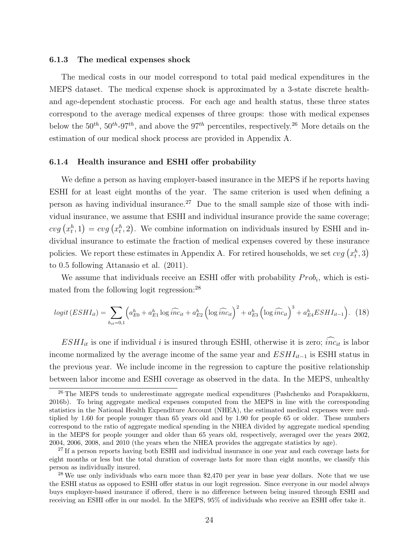#### 6.1.3 The medical expenses shock

The medical costs in our model correspond to total paid medical expenditures in the MEPS dataset. The medical expense shock is approximated by a 3-state discrete healthand age-dependent stochastic process. For each age and health status, these three states correspond to the average medical expenses of three groups: those with medical expenses below the  $50^{th}$ ,  $50^{th}$ -97<sup>th</sup>, and above the 97<sup>th</sup> percentiles, respectively.<sup>26</sup> More details on the estimation of our medical shock process are provided in Appendix A.

#### 6.1.4 Health insurance and ESHI offer probability

We define a person as having employer-based insurance in the MEPS if he reports having ESHI for at least eight months of the year. The same criterion is used when defining a person as having individual insurance.<sup>27</sup> Due to the small sample size of those with individual insurance, we assume that ESHI and individual insurance provide the same coverage;  $\cos(x_t^h, 1) = \cos(x_t^h, 2)$ . We combine information on individuals insured by ESHI and individual insurance to estimate the fraction of medical expenses covered by these insurance policies. We report these estimates in Appendix A. For retired households, we set  $cvg\left(x_{t}^{h},3\right)$ to 0.5 following Attanasio et al. (2011).

We assume that individuals receive an ESHI offer with probability  $Prob<sub>i</sub>$ , which is estimated from the following logit regression:<sup>28</sup>

$$
logit (ESHI_{it}) = \sum_{h_{it}=0,1} \left( a_{E0}^h + a_{E1}^h \log \widehat{inc}_{it} + a_{E2}^h \left( \log \widehat{inc}_{it} \right)^2 + a_{E3}^h \left( \log \widehat{inc}_{it} \right)^3 + a_{E4}^h ESHI_{it-1} \right). (18)
$$

 $ESHI_{it}$  is one if individual i is insured through ESHI, otherwise it is zero;  $\widehat{inc}_{it}$  is labor income normalized by the average income of the same year and  $ESHI_{it-1}$  is ESHI status in the previous year. We include income in the regression to capture the positive relationship between labor income and ESHI coverage as observed in the data. In the MEPS, unhealthy

<sup>&</sup>lt;sup>26</sup> The MEPS tends to underestimate aggregate medical expenditures (Pashchenko and Porapakkarm, 2016b). To bring aggregate medical expenses computed from the MEPS in line with the corresponding statistics in the National Health Expenditure Account (NHEA), the estimated medical expenses were multiplied by 1.60 for people younger than 65 years old and by 1.90 for people 65 or older. These numbers correspond to the ratio of aggregate medical spending in the NHEA divided by aggregate medical spending in the MEPS for people younger and older than 65 years old, respectively, averaged over the years 2002, 2004, 2006, 2008, and 2010 (the years when the NHEA provides the aggregate statistics by age).

<sup>&</sup>lt;sup>27</sup> If a person reports having both ESHI and individual insurance in one year and each coverage lasts for eight months or less but the total duration of coverage lasts for more than eight months, we classify this person as individually insured.

 $28$  We use only individuals who earn more than \$2,470 per year in base year dollars. Note that we use the ESHI status as opposed to ESHI offer status in our logit regression. Since everyone in our model always buys employer-based insurance if offered, there is no difference between being insured through ESHI and receiving an ESHI offer in our model. In the MEPS, 95% of individuals who receive an ESHI offer take it.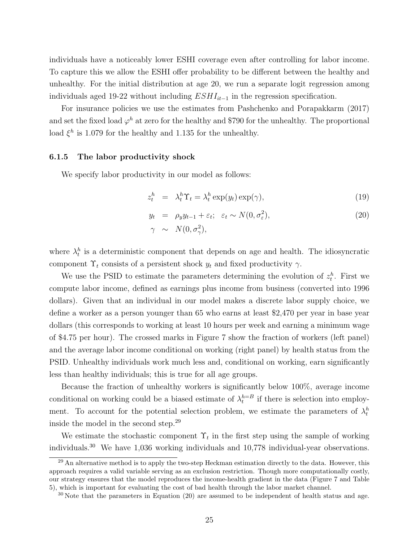individuals have a noticeably lower ESHI coverage even after controlling for labor income. To capture this we allow the ESHI offer probability to be different between the healthy and unhealthy. For the initial distribution at age 20, we run a separate logit regression among individuals aged 19-22 without including  $ESHI_{it-1}$  in the regression specification.

For insurance policies we use the estimates from Pashchenko and Porapakkarm (2017) and set the fixed load  $\varphi^h$  at zero for the healthy and \$790 for the unhealthy. The proportional load  $\xi^h$  is 1.079 for the healthy and 1.135 for the unhealthy.

#### 6.1.5 The labor productivity shock

We specify labor productivity in our model as follows:

$$
z_t^h = \lambda_t^h \Upsilon_t = \lambda_t^h \exp(y_t) \exp(\gamma), \qquad (19)
$$

$$
y_t = \rho_y y_{t-1} + \varepsilon_t; \quad \varepsilon_t \sim N(0, \sigma_\varepsilon^2), \tag{20}
$$

$$
\gamma \quad \sim \quad N(0, \sigma_\gamma^2),
$$

where  $\lambda_t^h$  is a deterministic component that depends on age and health. The idiosyncratic component  $\Upsilon_t$  consists of a persistent shock  $y_t$  and fixed productivity  $\gamma$ .

We use the PSID to estimate the parameters determining the evolution of  $z_t^h$ . First we compute labor income, defined as earnings plus income from business (converted into 1996 dollars). Given that an individual in our model makes a discrete labor supply choice, we define a worker as a person younger than 65 who earns at least \$2,470 per year in base year dollars (this corresponds to working at least 10 hours per week and earning a minimum wage of \$4.75 per hour). The crossed marks in Figure 7 show the fraction of workers (left panel) and the average labor income conditional on working (right panel) by health status from the PSID. Unhealthy individuals work much less and, conditional on working, earn significantly less than healthy individuals; this is true for all age groups.

Because the fraction of unhealthy workers is significantly below 100%, average income conditional on working could be a biased estimate of  $\lambda_t^{h=B}$  if there is selection into employment. To account for the potential selection problem, we estimate the parameters of  $\lambda_t^h$ inside the model in the second step.<sup>29</sup>

We estimate the stochastic component  $\Upsilon_t$  in the first step using the sample of working individuals.<sup>30</sup> We have 1,036 working individuals and 10,778 individual-year observations.

<sup>&</sup>lt;sup>29</sup> An alternative method is to apply the two-step Heckman estimation directly to the data. However, this approach requires a valid variable serving as an exclusion restriction. Though more computationally costly, our strategy ensures that the model reproduces the income-health gradient in the data (Figure 7 and Table 5), which is important for evaluating the cost of bad health through the labor market channel.

<sup>&</sup>lt;sup>30</sup> Note that the parameters in Equation (20) are assumed to be independent of health status and age.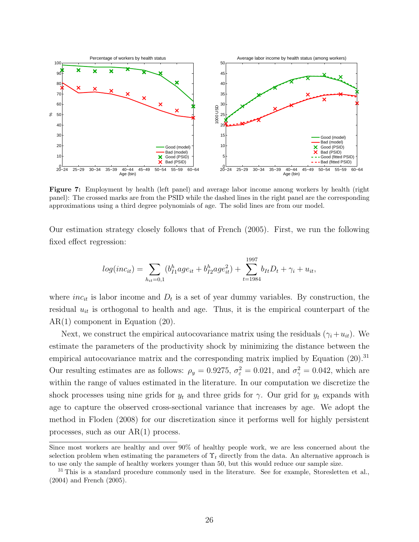

Figure 7: Employment by health (left panel) and average labor income among workers by health (right panel): The crossed marks are from the PSID while the dashed lines in the right panel are the corresponding approximations using a third degree polynomials of age. The solid lines are from our model.

Our estimation strategy closely follows that of French (2005). First, we run the following fixed effect regression:

$$
log(inc_{it}) = \sum_{h_{it}=0,1} (b_{I1}^h age_{it} + b_{I2}^h age_{it}^2) + \sum_{t=1984}^{1997} b_{It}D_t + \gamma_i + u_{it},
$$

where  $inc_{it}$  is labor income and  $D_t$  is a set of year dummy variables. By construction, the residual  $u_{it}$  is orthogonal to health and age. Thus, it is the empirical counterpart of the AR(1) component in Equation (20).

Next, we construct the empirical autocovariance matrix using the residuals  $(\gamma_i+u_{it})$ . We estimate the parameters of the productivity shock by minimizing the distance between the empirical autocovariance matrix and the corresponding matrix implied by Equation  $(20)^{31}$ Our resulting estimates are as follows:  $\rho_y = 0.9275$ ,  $\sigma_{\varepsilon}^2 = 0.021$ , and  $\sigma_{\gamma}^2 = 0.042$ , which are within the range of values estimated in the literature. In our computation we discretize the shock processes using nine grids for  $y_t$  and three grids for  $\gamma$ . Our grid for  $y_t$  expands with age to capture the observed cross-sectional variance that increases by age. We adopt the method in Floden (2008) for our discretization since it performs well for highly persistent processes, such as our AR(1) process.

Since most workers are healthy and over 90% of healthy people work, we are less concerned about the selection problem when estimating the parameters of  $\Upsilon_t$  directly from the data. An alternative approach is to use only the sample of healthy workers younger than 50, but this would reduce our sample size.

<sup>&</sup>lt;sup>31</sup> This is a standard procedure commonly used in the literature. See for example, Storesletten et al., (2004) and French (2005).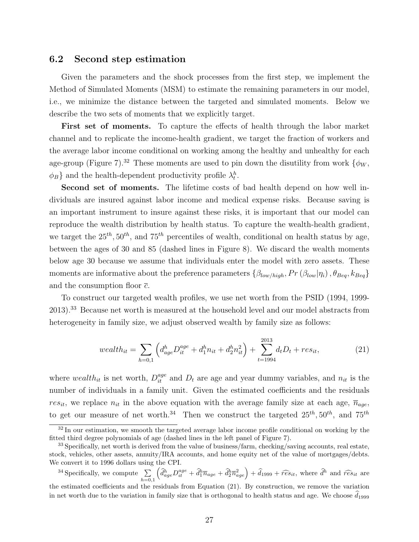#### 6.2 Second step estimation

Given the parameters and the shock processes from the first step, we implement the Method of Simulated Moments (MSM) to estimate the remaining parameters in our model, i.e., we minimize the distance between the targeted and simulated moments. Below we describe the two sets of moments that we explicitly target.

First set of moments. To capture the effects of health through the labor market channel and to replicate the income-health gradient, we target the fraction of workers and the average labor income conditional on working among the healthy and unhealthy for each age-group (Figure 7).<sup>32</sup> These moments are used to pin down the disutility from work  $\{\phi_W,$  $\phi_B$ } and the health-dependent productivity profile  $\lambda_t^h$ .

Second set of moments. The lifetime costs of bad health depend on how well individuals are insured against labor income and medical expense risks. Because saving is an important instrument to insure against these risks, it is important that our model can reproduce the wealth distribution by health status. To capture the wealth-health gradient, we target the  $25^{th}$ ,  $50^{th}$ , and  $75^{th}$  percentiles of wealth, conditional on health status by age, between the ages of 30 and 85 (dashed lines in Figure 8). We discard the wealth moments below age 30 because we assume that individuals enter the model with zero assets. These moments are informative about the preference parameters  $\{\beta_{low/high}, Pr(\beta_{low}|\eta_i), \theta_{Beq}, k_{Beq}\}\$ and the consumption floor  $\bar{c}$ .

To construct our targeted wealth profiles, we use net worth from the PSID (1994, 1999- 2013).<sup>33</sup> Because net worth is measured at the household level and our model abstracts from heterogeneity in family size, we adjust observed wealth by family size as follows:

$$
wealth_{it} = \sum_{h=0,1} \left( d_{age}^h D_{it}^{age} + d_1^h n_{it} + d_2^h n_{it}^2 \right) + \sum_{t=1994}^{2013} d_t D_t + res_{it}, \tag{21}
$$

where wealth<sub>it</sub> is net worth,  $D_{it}^{age}$  and  $D_t$  are age and year dummy variables, and  $n_{it}$  is the number of individuals in a family unit. Given the estimated coefficients and the residuals res<sub>it</sub>, we replace  $n_{it}$  in the above equation with the average family size at each age,  $\overline{n}_{age}$ , to get our measure of net worth.<sup>34</sup> Then we construct the targeted  $25^{th}$ ,  $50^{th}$ , and  $75^{th}$ 

 $32 \text{ In our estimation, we smooth the targeted average labor income profile conditional on working by the$ fitted third degree polynomials of age (dashed lines in the left panel of Figure 7).

<sup>33</sup> Specifically, net worth is derived from the value of business/farm, checking/saving accounts, real estate, stock, vehicles, other assets, annuity/IRA accounts, and home equity net of the value of mortgages/debts. We convert it to 1996 dollars using the CPI.

<sup>&</sup>lt;sup>34</sup> Specifically, we compute  $\Sigma$  $h=0,1$  $\left(\hat{d}_{age}^{h}D_{it}^{age}+\hat{d}_{1}^{h}\overline{n}_{age}+\hat{d}_{2}^{h}\overline{n}_{age}^{2}\right)+\hat{d}_{1999}+\hat{res}_{it}$ , where  $\hat{d}^{h}$  and  $\hat{res}_{it}$  are the estimated coefficients and the residuals from Equation (21). By construction, we remove the variation in net worth due to the variation in family size that is orthogonal to health status and age. We choose  $d_{1999}$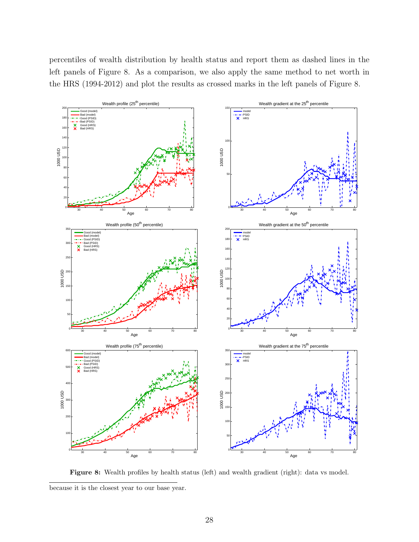percentiles of wealth distribution by health status and report them as dashed lines in the left panels of Figure 8. As a comparison, we also apply the same method to net worth in the HRS (1994-2012) and plot the results as crossed marks in the left panels of Figure 8.



Figure 8: Wealth profiles by health status (left) and wealth gradient (right): data vs model. because it is the closest year to our base year.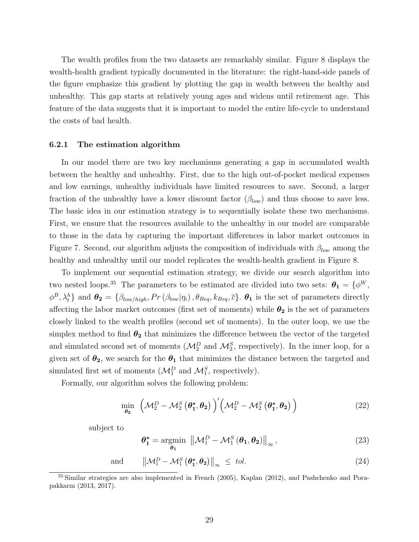The wealth profiles from the two datasets are remarkably similar. Figure 8 displays the wealth-health gradient typically documented in the literature: the right-hand-side panels of the figure emphasize this gradient by plotting the gap in wealth between the healthy and unhealthy. This gap starts at relatively young ages and widens until retirement age. This feature of the data suggests that it is important to model the entire life-cycle to understand the costs of bad health.

#### 6.2.1 The estimation algorithm

In our model there are two key mechanisms generating a gap in accumulated wealth between the healthy and unhealthy. First, due to the high out-of-pocket medical expenses and low earnings, unhealthy individuals have limited resources to save. Second, a larger fraction of the unhealthy have a lower discount factor  $(\beta_{low})$  and thus choose to save less. The basic idea in our estimation strategy is to sequentially isolate these two mechanisms. First, we ensure that the resources available to the unhealthy in our model are comparable to those in the data by capturing the important differences in labor market outcomes in Figure 7. Second, our algorithm adjusts the composition of individuals with  $\beta_{low}$  among the healthy and unhealthy until our model replicates the wealth-health gradient in Figure 8.

To implement our sequential estimation strategy, we divide our search algorithm into two nested loops.<sup>35</sup> The parameters to be estimated are divided into two sets:  $\boldsymbol{\theta_1} = \{\phi^W,$  $\{\phi^B, \lambda_t^h\}$  and  $\boldsymbol{\theta_2} = \{\beta_{low/high}, Pr(\beta_{low}|\eta_i), \theta_{Beq}, k_{Beq}, \bar{c}\}\$ .  $\boldsymbol{\theta_1}$  is the set of parameters directly affecting the labor market outcomes (first set of moments) while  $\theta_2$  is the set of parameters closely linked to the wealth profiles (second set of moments). In the outer loop, we use the simplex method to find  $\theta_2$  that minimizes the difference between the vector of the targeted and simulated second set of moments  $(\mathcal{M}_2^D$  and  $\mathcal{M}_2^S$ , respectively). In the inner loop, for a given set of  $\theta_2$ , we search for the  $\theta_1$  that minimizes the distance between the targeted and simulated first set of moments  $(\mathcal{M}_1^D$  and  $\mathcal{M}_1^S$ , respectively).

Formally, our algorithm solves the following problem:

$$
\min_{\theta_2} \left( \mathcal{M}_2^D - \mathcal{M}_2^S \left( \theta_1^*, \theta_2 \right) \right)' \left( \mathcal{M}_2^D - \mathcal{M}_2^S \left( \theta_1^*, \theta_2 \right) \right) \tag{22}
$$

subject to

$$
\boldsymbol{\theta}_{1}^{*} = \underset{\boldsymbol{\theta}_{1}}{\operatorname{argmin}} \, \left\| \mathcal{M}_{1}^{D} - \mathcal{M}_{1}^{S} \left( \boldsymbol{\theta}_{1}, \boldsymbol{\theta}_{2} \right) \right\|_{\infty},\tag{23}
$$

and 
$$
\|\mathcal{M}_1^D - \mathcal{M}_1^S(\boldsymbol{\theta}_1^*, \boldsymbol{\theta}_2)\|_{\infty} \leq tol. \tag{24}
$$

<sup>&</sup>lt;sup>35</sup> Similar strategies are also implemented in French (2005), Kaplan (2012), and Pashchenko and Porapakkarm (2013, 2017).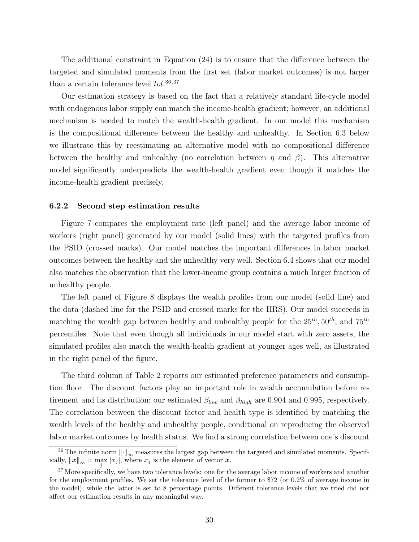The additional constraint in Equation (24) is to ensure that the difference between the targeted and simulated moments from the first set (labor market outcomes) is not larger than a certain tolerance level  $tol.^{36,37}$ 

Our estimation strategy is based on the fact that a relatively standard life-cycle model with endogenous labor supply can match the income-health gradient; however, an additional mechanism is needed to match the wealth-health gradient. In our model this mechanism is the compositional difference between the healthy and unhealthy. In Section 6.3 below we illustrate this by reestimating an alternative model with no compositional difference between the healthy and unhealthy (no correlation between  $\eta$  and  $\beta$ ). This alternative model significantly underpredicts the wealth-health gradient even though it matches the income-health gradient precisely.

#### 6.2.2 Second step estimation results

Figure 7 compares the employment rate (left panel) and the average labor income of workers (right panel) generated by our model (solid lines) with the targeted profiles from the PSID (crossed marks). Our model matches the important differences in labor market outcomes between the healthy and the unhealthy very well. Section 6.4 shows that our model also matches the observation that the lower-income group contains a much larger fraction of unhealthy people.

The left panel of Figure 8 displays the wealth profiles from our model (solid line) and the data (dashed line for the PSID and crossed marks for the HRS). Our model succeeds in matching the wealth gap between healthy and unhealthy people for the  $25^{th}$ ,  $50^{th}$ , and  $75^{th}$ percentiles. Note that even though all individuals in our model start with zero assets, the simulated profiles also match the wealth-health gradient at younger ages well, as illustrated in the right panel of the figure.

The third column of Table 2 reports our estimated preference parameters and consumption floor. The discount factors play an important role in wealth accumulation before retirement and its distribution; our estimated  $\beta_{low}$  and  $\beta_{high}$  are 0.904 and 0.995, respectively. The correlation between the discount factor and health type is identified by matching the wealth levels of the healthy and unhealthy people, conditional on reproducing the observed labor market outcomes by health status. We find a strong correlation between one's discount

<sup>&</sup>lt;sup>36</sup> The infinite norm  $\|\cdot\|_{\infty}$  measures the largest gap between the targeted and simulated moments. Specifically,  $||x||_{\infty} = \max_{j} |x_j|$ , where  $x_j$  is the element of vector x.

<sup>&</sup>lt;sup>37</sup> More specifically, we have two tolerance levels: one for the average labor income of workers and another for the employment profiles. We set the tolerance level of the former to \$72 (or 0.2% of average income in the model), while the latter is set to 8 percentage points. Different tolerance levels that we tried did not affect our estimation results in any meaningful way.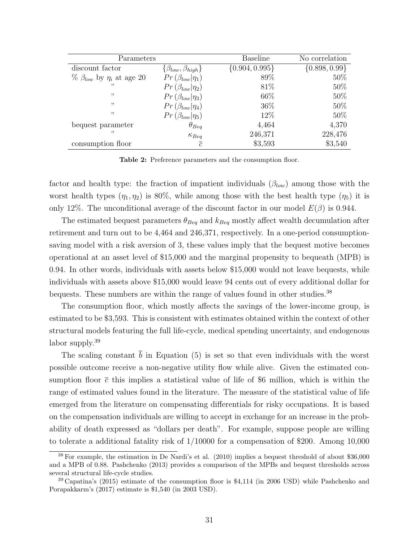| Parameters                               |                                  | Baseline           | No correlation    |
|------------------------------------------|----------------------------------|--------------------|-------------------|
| discount factor                          | $\{\beta_{low}, \beta_{high}\}\$ | $\{0.904, 0.995\}$ | $\{0.898, 0.99\}$ |
| $\%$ $\beta_{low}$ by $\eta_i$ at age 20 | $Pr(\beta_{low} \eta_1)$         | 89%                | 50%               |
|                                          | $Pr(\beta_{low} \eta_2)$         | 81\%               | $50\%$            |
| "                                        | $Pr(\beta_{low} \eta_3)$         | 66\%               | $50\%$            |
| , ,                                      | $Pr(\beta_{low} \eta_4)$         | 36\%               | $50\%$            |
| , ,                                      | $Pr(\beta_{low} \eta_5)$         | 12%                | $50\%$            |
| bequest parameter                        | $\theta_{Beq}$                   | 4,464              | 4,370             |
| "                                        | $\kappa_{Beq}$                   | 246,371            | 228,476           |
| consumption floor                        | $\overline{c}$                   | \$3,593            | \$3,540           |

Table 2: Preference parameters and the consumption floor.

factor and health type: the fraction of impatient individuals  $(\beta_{low})$  among those with the worst health types  $(\eta_1, \eta_2)$  is 80%, while among those with the best health type  $(\eta_5)$  it is only 12%. The unconditional average of the discount factor in our model  $E(\beta)$  is 0.944.

The estimated bequest parameters  $\theta_{Beq}$  and  $k_{Beq}$  mostly affect wealth decumulation after retirement and turn out to be 4,464 and 246,371, respectively. In a one-period consumptionsaving model with a risk aversion of 3, these values imply that the bequest motive becomes operational at an asset level of \$15,000 and the marginal propensity to bequeath (MPB) is 0.94. In other words, individuals with assets below \$15,000 would not leave bequests, while individuals with assets above \$15,000 would leave 94 cents out of every additional dollar for bequests. These numbers are within the range of values found in other studies.<sup>38</sup>

The consumption floor, which mostly affects the savings of the lower-income group, is estimated to be \$3,593. This is consistent with estimates obtained within the context of other structural models featuring the full life-cycle, medical spending uncertainty, and endogenous labor supply.<sup>39</sup>

The scaling constant  $\bar{b}$  in Equation (5) is set so that even individuals with the worst possible outcome receive a non-negative utility flow while alive. Given the estimated consumption floor  $\bar{c}$  this implies a statistical value of life of \$6 million, which is within the range of estimated values found in the literature. The measure of the statistical value of life emerged from the literature on compensating differentials for risky occupations. It is based on the compensation individuals are willing to accept in exchange for an increase in the probability of death expressed as "dollars per death". For example, suppose people are willing to tolerate a additional fatality risk of 1/10000 for a compensation of \$200. Among 10,000

<sup>38</sup> For example, the estimation in De Nardi's et al. (2010) implies a bequest threshold of about \$36,000 and a MPB of 0.88. Pashchenko (2013) provides a comparison of the MPBs and bequest thresholds across several structural life-cycle studies.

<sup>39</sup> Capatina's (2015) estimate of the consumption floor is \$4,114 (in 2006 USD) while Pashchenko and Porapakkarm's (2017) estimate is \$1,540 (in 2003 USD).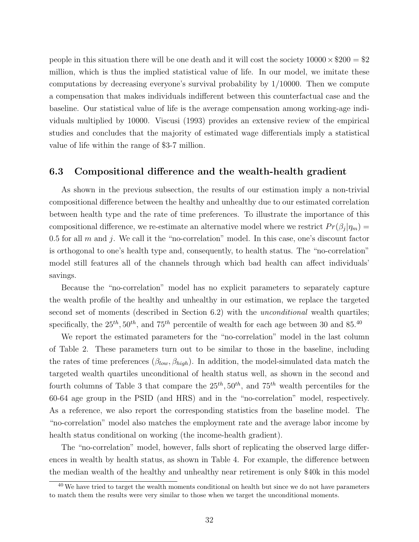people in this situation there will be one death and it will cost the society  $10000 \times $200 = $2$ million, which is thus the implied statistical value of life. In our model, we imitate these computations by decreasing everyone's survival probability by 1/10000. Then we compute a compensation that makes individuals indifferent between this counterfactual case and the baseline. Our statistical value of life is the average compensation among working-age individuals multiplied by 10000. Viscusi (1993) provides an extensive review of the empirical studies and concludes that the majority of estimated wage differentials imply a statistical value of life within the range of \$3-7 million.

### 6.3 Compositional difference and the wealth-health gradient

As shown in the previous subsection, the results of our estimation imply a non-trivial compositional difference between the healthy and unhealthy due to our estimated correlation between health type and the rate of time preferences. To illustrate the importance of this compositional difference, we re-estimate an alternative model where we restrict  $Pr(\beta_j | \eta_m)$  = 0.5 for all  $m$  and  $j$ . We call it the "no-correlation" model. In this case, one's discount factor is orthogonal to one's health type and, consequently, to health status. The "no-correlation" model still features all of the channels through which bad health can affect individuals' savings.

Because the "no-correlation" model has no explicit parameters to separately capture the wealth profile of the healthy and unhealthy in our estimation, we replace the targeted second set of moments (described in Section 6.2) with the *unconditional* wealth quartiles; specifically, the  $25^{th}$ ,  $50^{th}$ , and  $75^{th}$  percentile of wealth for each age between 30 and 85.<sup>40</sup>

We report the estimated parameters for the "no-correlation" model in the last column of Table 2. These parameters turn out to be similar to those in the baseline, including the rates of time preferences  $(\beta_{low}, \beta_{high})$ . In addition, the model-simulated data match the targeted wealth quartiles unconditional of health status well, as shown in the second and fourth columns of Table 3 that compare the  $25^{th}$ ,  $50^{th}$ , and  $75^{th}$  wealth percentiles for the 60-64 age group in the PSID (and HRS) and in the "no-correlation" model, respectively. As a reference, we also report the corresponding statistics from the baseline model. The "no-correlation" model also matches the employment rate and the average labor income by health status conditional on working (the income-health gradient).

The "no-correlation" model, however, falls short of replicating the observed large differences in wealth by health status, as shown in Table 4. For example, the difference between the median wealth of the healthy and unhealthy near retirement is only \$40k in this model

<sup>&</sup>lt;sup>40</sup> We have tried to target the wealth moments conditional on health but since we do not have parameters to match them the results were very similar to those when we target the unconditional moments.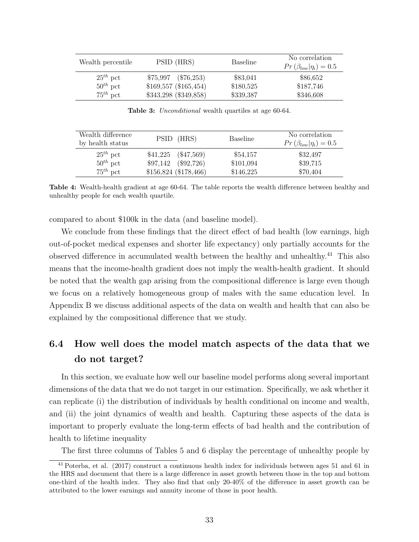| Wealth percentile | PSID (HRS)            | Baseline  | No correlation<br>$Pr(\beta_{low} \eta_i)=0.5$ |
|-------------------|-----------------------|-----------|------------------------------------------------|
| $25^{th}$ pct     | $$75,997$ (\$76,253)  | \$83,041  | \$86,652                                       |
| $50^{th}$ pct     | \$169,557 (\$165,454) | \$180,525 | \$187,746                                      |
| $75^{th}$ pct     | \$343,298 (\$349,858) | \$339,387 | \$346,608                                      |

Table 3: Unconditional wealth quartiles at age 60-64.

| Wealth difference<br>by health status | PSID (HRS)               | Baseline  | No correlation<br>$Pr(\beta_{low} \eta_i)=0.5$ |
|---------------------------------------|--------------------------|-----------|------------------------------------------------|
| $25^{th}$ pct                         | \$41,225<br>$(\$47,569)$ | \$54,157  | \$32,497                                       |
| $50^{th}$ pct                         | $$97,142$ $($92,726)$    | \$101,094 | \$39,715                                       |
| $75^{th}$ pct                         | \$156,824 (\$178,466)    | \$146,225 | \$70,404                                       |

Table 4: Wealth-health gradient at age 60-64. The table reports the wealth difference between healthy and unhealthy people for each wealth quartile.

compared to about \$100k in the data (and baseline model).

We conclude from these findings that the direct effect of bad health (low earnings, high out-of-pocket medical expenses and shorter life expectancy) only partially accounts for the observed difference in accumulated wealth between the healthy and unhealthy.<sup>41</sup> This also means that the income-health gradient does not imply the wealth-health gradient. It should be noted that the wealth gap arising from the compositional difference is large even though we focus on a relatively homogeneous group of males with the same education level. In Appendix B we discuss additional aspects of the data on wealth and health that can also be explained by the compositional difference that we study.

## 6.4 How well does the model match aspects of the data that we do not target?

In this section, we evaluate how well our baseline model performs along several important dimensions of the data that we do not target in our estimation. Specifically, we ask whether it can replicate (i) the distribution of individuals by health conditional on income and wealth, and (ii) the joint dynamics of wealth and health. Capturing these aspects of the data is important to properly evaluate the long-term effects of bad health and the contribution of health to lifetime inequality

The first three columns of Tables 5 and 6 display the percentage of unhealthy people by

<sup>41</sup> Poterba, et al. (2017) construct a continuous health index for individuals between ages 51 and 61 in the HRS and document that there is a large difference in asset growth between those in the top and bottom one-third of the health index. They also find that only 20-40% of the difference in asset growth can be attributed to the lower earnings and annuity income of those in poor health.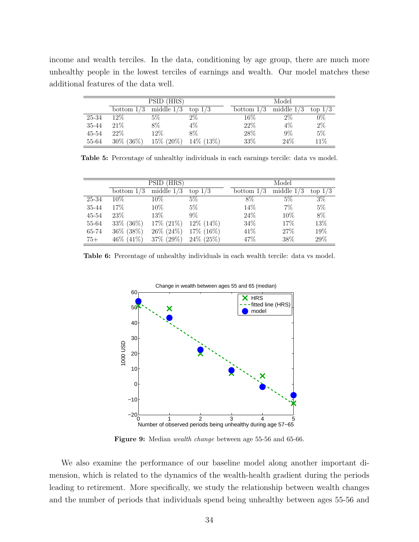income and wealth terciles. In the data, conditioning by age group, there are much more unhealthy people in the lowest terciles of earnings and wealth. Our model matches these additional features of the data well.

|           | PSID (HRS)   |               |              | Model        |              |           |  |
|-----------|--------------|---------------|--------------|--------------|--------------|-----------|--|
|           | bottom $1/3$ | middle $1/3$  | top $1/3$    | bottom $1/3$ | middle $1/3$ | top $1/3$ |  |
| 25-34     | $12\%$       | $5\%$         | $2\%$        | $16\%$       | $2\%$        | $0\%$     |  |
| 35-44     | 21\%         | 8%            | $4\%$        | 22%          | $4\%$        | $2\%$     |  |
| $45 - 54$ | 22\%         | 12%           | 8%           | 28\%         | $9\%$        | $5\%$     |  |
| 55-64     | $30\%$ (36%) | $15\% (20\%)$ | $14\%$ (13%) | 33%          | 24\%         | 11%       |  |

Table 5: Percentage of unhealthy individuals in each earnings tercile: data vs model.

| PSID (HRS) |              |               | Model         |              |              |           |
|------------|--------------|---------------|---------------|--------------|--------------|-----------|
|            | bottom $1/3$ | middle $1/3$  | top $1/3$     | bottom $1/3$ | middle $1/3$ | top $1/3$ |
| 25-34      | $10\%$       | $10\%$        | $5\%$         | 8%           | $5\%$        | $3\%$     |
| 35-44      | $17\%$       | $10\%$        | $5\%$         | 14%          | $7\%$        | $5\%$     |
| $45 - 54$  | 23\%         | $13\%$        | $9\%$         | 24\%         | 10%          | 8%        |
| 55-64      | 33% (36%)    | 17% (21%)     | $12\%$ (14\%) | 34%          | 17%          | 13%       |
| 65-74      | 36\% (38\%)  | $26\% (24\%)$ | 17% (16%)     | 41\%         | 27%          | 19%       |
| $75+$      | 46\% (41\%)  | 37% (29%)     | $24\%$ (25%)  | 47%          | 38%          | 29%       |

Table 6: Percentage of unhealthy individuals in each wealth tercile: data vs model.



Figure 9: Median wealth change between age 55-56 and 65-66.

We also examine the performance of our baseline model along another important dimension, which is related to the dynamics of the wealth-health gradient during the periods leading to retirement. More specifically, we study the relationship between wealth changes and the number of periods that individuals spend being unhealthy between ages 55-56 and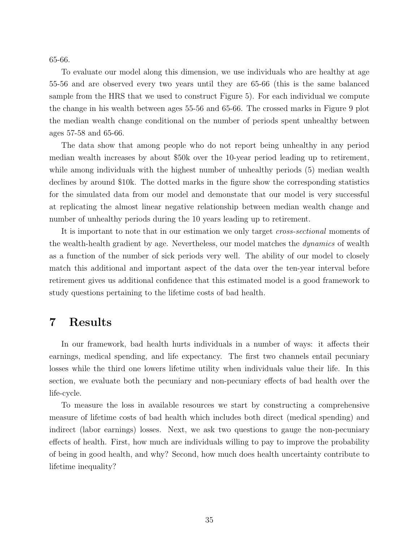65-66.

To evaluate our model along this dimension, we use individuals who are healthy at age 55-56 and are observed every two years until they are 65-66 (this is the same balanced sample from the HRS that we used to construct Figure 5). For each individual we compute the change in his wealth between ages 55-56 and 65-66. The crossed marks in Figure 9 plot the median wealth change conditional on the number of periods spent unhealthy between ages 57-58 and 65-66.

The data show that among people who do not report being unhealthy in any period median wealth increases by about \$50k over the 10-year period leading up to retirement, while among individuals with the highest number of unhealthy periods (5) median wealth declines by around \$10k. The dotted marks in the figure show the corresponding statistics for the simulated data from our model and demonstate that our model is very successful at replicating the almost linear negative relationship between median wealth change and number of unhealthy periods during the 10 years leading up to retirement.

It is important to note that in our estimation we only target *cross-sectional* moments of the wealth-health gradient by age. Nevertheless, our model matches the dynamics of wealth as a function of the number of sick periods very well. The ability of our model to closely match this additional and important aspect of the data over the ten-year interval before retirement gives us additional confidence that this estimated model is a good framework to study questions pertaining to the lifetime costs of bad health.

## 7 Results

In our framework, bad health hurts individuals in a number of ways: it affects their earnings, medical spending, and life expectancy. The first two channels entail pecuniary losses while the third one lowers lifetime utility when individuals value their life. In this section, we evaluate both the pecuniary and non-pecuniary effects of bad health over the life-cycle.

To measure the loss in available resources we start by constructing a comprehensive measure of lifetime costs of bad health which includes both direct (medical spending) and indirect (labor earnings) losses. Next, we ask two questions to gauge the non-pecuniary effects of health. First, how much are individuals willing to pay to improve the probability of being in good health, and why? Second, how much does health uncertainty contribute to lifetime inequality?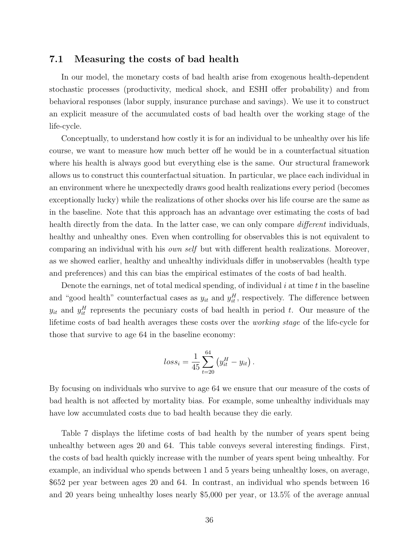### 7.1 Measuring the costs of bad health

In our model, the monetary costs of bad health arise from exogenous health-dependent stochastic processes (productivity, medical shock, and ESHI offer probability) and from behavioral responses (labor supply, insurance purchase and savings). We use it to construct an explicit measure of the accumulated costs of bad health over the working stage of the life-cycle.

Conceptually, to understand how costly it is for an individual to be unhealthy over his life course, we want to measure how much better off he would be in a counterfactual situation where his health is always good but everything else is the same. Our structural framework allows us to construct this counterfactual situation. In particular, we place each individual in an environment where he unexpectedly draws good health realizations every period (becomes exceptionally lucky) while the realizations of other shocks over his life course are the same as in the baseline. Note that this approach has an advantage over estimating the costs of bad health directly from the data. In the latter case, we can only compare *different* individuals, healthy and unhealthy ones. Even when controlling for observables this is not equivalent to comparing an individual with his own self but with different health realizations. Moreover, as we showed earlier, healthy and unhealthy individuals differ in unobservables (health type and preferences) and this can bias the empirical estimates of the costs of bad health.

Denote the earnings, net of total medical spending, of individual  $i$  at time  $t$  in the baseline and "good health" counterfactual cases as  $y_{it}$  and  $y_{it}^H$ , respectively. The difference between  $y_{it}$  and  $y_{it}^H$  represents the pecuniary costs of bad health in period t. Our measure of the lifetime costs of bad health averages these costs over the working stage of the life-cycle for those that survive to age 64 in the baseline economy:

$$
loss_i = \frac{1}{45} \sum_{t=20}^{64} (y_{it}^H - y_{it}).
$$

By focusing on individuals who survive to age 64 we ensure that our measure of the costs of bad health is not affected by mortality bias. For example, some unhealthy individuals may have low accumulated costs due to bad health because they die early.

Table 7 displays the lifetime costs of bad health by the number of years spent being unhealthy between ages 20 and 64. This table conveys several interesting findings. First, the costs of bad health quickly increase with the number of years spent being unhealthy. For example, an individual who spends between 1 and 5 years being unhealthy loses, on average, \$652 per year between ages 20 and 64. In contrast, an individual who spends between 16 and 20 years being unhealthy loses nearly \$5,000 per year, or 13.5% of the average annual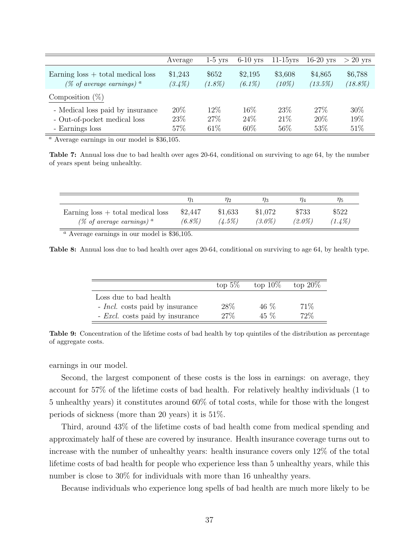|                                         | Average   | $1-5$ vrs | $6-10$ yrs | $11-15$ yrs | $16-20$ yrs | $> 20$ yrs |
|-----------------------------------------|-----------|-----------|------------|-------------|-------------|------------|
| Earning $loss + total$ medical loss     | \$1,243   | \$652     | \$2,195    | \$3,608     | \$4,865     | \$6,788    |
| $(\%$ of average earnings) <sup>a</sup> | $(3.4\%)$ | $(1.8\%)$ | $(6.1\%)$  | $(10\%)$    | (13.5%)     | $(18.8\%)$ |
| Composition $(\%)$                      |           |           |            |             |             |            |
| - Medical loss paid by insurance        | 20\%      | $12\%$    | $16\%$     | 23\%        | 27%         | $30\%$     |
| - Out-of-pocket medical loss            | 23\%      | 27\%      | 24%        | 21\%        | 20%         | 19%        |
| - Earnings loss                         | 57%       | 61\%      | 60%        | 56%         | 53%         | 51\%       |

 $\alpha$  Average earnings in our model is \$36,105.

Table 7: Annual loss due to bad health over ages 20-64, conditional on surviving to age 64, by the number of years spent being unhealthy.

|                                     | $\eta_1$  | $\eta_2$  | 773     | $\eta_4$  | $\eta_5$  |
|-------------------------------------|-----------|-----------|---------|-----------|-----------|
| Earning $loss + total$ medical loss | \$2,447   | \$1,633   | \$1,072 | \$733     | \$522     |
| (% of average earnings) $^a$        | $(6.8\%)$ | $(4.5\%)$ | (3.0%)  | $(2.0\%)$ | $(1.4\%)$ |

<sup>a</sup> Average earnings in our model is \$36,105.

Table 8: Annual loss due to bad health over ages 20-64, conditional on surviving to age 64, by health type.

|                                        | top $5\%$ | top $10\%$ | top $20\%$ |
|----------------------------------------|-----------|------------|------------|
| Loss due to bad health                 |           |            |            |
| - <i>Incl.</i> costs paid by insurance | 28\%      | 46 %       | $71\%$     |
| - <i>Excl.</i> costs paid by insurance | 27%       | 45 $\%$    | 72%        |

Table 9: Concentration of the lifetime costs of bad health by top quintiles of the distribution as percentage of aggregate costs.

earnings in our model.

Second, the largest component of these costs is the loss in earnings: on average, they account for 57% of the lifetime costs of bad health. For relatively healthy individuals (1 to 5 unhealthy years) it constitutes around 60% of total costs, while for those with the longest periods of sickness (more than 20 years) it is 51%.

Third, around 43% of the lifetime costs of bad health come from medical spending and approximately half of these are covered by insurance. Health insurance coverage turns out to increase with the number of unhealthy years: health insurance covers only 12% of the total lifetime costs of bad health for people who experience less than 5 unhealthy years, while this number is close to 30% for individuals with more than 16 unhealthy years.

Because individuals who experience long spells of bad health are much more likely to be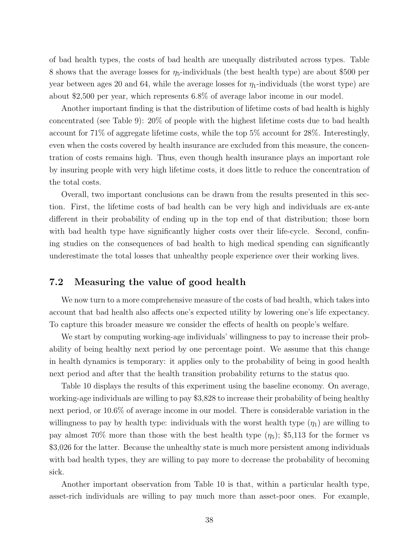of bad health types, the costs of bad health are unequally distributed across types. Table 8 shows that the average losses for  $\eta_5$ -individuals (the best health type) are about \$500 per year between ages 20 and 64, while the average losses for  $\eta_1$ -individuals (the worst type) are about \$2,500 per year, which represents 6.8% of average labor income in our model.

Another important finding is that the distribution of lifetime costs of bad health is highly concentrated (see Table 9): 20% of people with the highest lifetime costs due to bad health account for 71% of aggregate lifetime costs, while the top 5% account for 28%. Interestingly, even when the costs covered by health insurance are excluded from this measure, the concentration of costs remains high. Thus, even though health insurance plays an important role by insuring people with very high lifetime costs, it does little to reduce the concentration of the total costs.

Overall, two important conclusions can be drawn from the results presented in this section. First, the lifetime costs of bad health can be very high and individuals are ex-ante different in their probability of ending up in the top end of that distribution; those born with bad health type have significantly higher costs over their life-cycle. Second, confining studies on the consequences of bad health to high medical spending can significantly underestimate the total losses that unhealthy people experience over their working lives.

### 7.2 Measuring the value of good health

We now turn to a more comprehensive measure of the costs of bad health, which takes into account that bad health also affects one's expected utility by lowering one's life expectancy. To capture this broader measure we consider the effects of health on people's welfare.

We start by computing working-age individuals' willingness to pay to increase their probability of being healthy next period by one percentage point. We assume that this change in health dynamics is temporary: it applies only to the probability of being in good health next period and after that the health transition probability returns to the status quo.

Table 10 displays the results of this experiment using the baseline economy. On average, working-age individuals are willing to pay \$3,828 to increase their probability of being healthy next period, or 10.6% of average income in our model. There is considerable variation in the willingness to pay by health type: individuals with the worst health type  $(\eta_1)$  are willing to pay almost 70% more than those with the best health type  $(\eta_5)$ ; \$5,113 for the former vs \$3,026 for the latter. Because the unhealthy state is much more persistent among individuals with bad health types, they are willing to pay more to decrease the probability of becoming sick.

Another important observation from Table 10 is that, within a particular health type, asset-rich individuals are willing to pay much more than asset-poor ones. For example,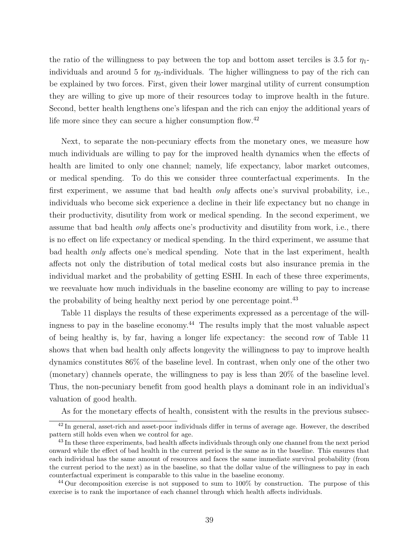the ratio of the willingness to pay between the top and bottom asset terciles is 3.5 for  $\eta_1$ individuals and around 5 for  $\eta_5$ -individuals. The higher willingness to pay of the rich can be explained by two forces. First, given their lower marginal utility of current consumption they are willing to give up more of their resources today to improve health in the future. Second, better health lengthens one's lifespan and the rich can enjoy the additional years of life more since they can secure a higher consumption flow.<sup>42</sup>

Next, to separate the non-pecuniary effects from the monetary ones, we measure how much individuals are willing to pay for the improved health dynamics when the effects of health are limited to only one channel; namely, life expectancy, labor market outcomes, or medical spending. To do this we consider three counterfactual experiments. In the first experiment, we assume that bad health only affects one's survival probability, i.e., individuals who become sick experience a decline in their life expectancy but no change in their productivity, disutility from work or medical spending. In the second experiment, we assume that bad health only affects one's productivity and disutility from work, i.e., there is no effect on life expectancy or medical spending. In the third experiment, we assume that bad health only affects one's medical spending. Note that in the last experiment, health affects not only the distribution of total medical costs but also insurance premia in the individual market and the probability of getting ESHI. In each of these three experiments, we reevaluate how much individuals in the baseline economy are willing to pay to increase the probability of being healthy next period by one percentage point.<sup>43</sup>

Table 11 displays the results of these experiments expressed as a percentage of the willingness to pay in the baseline economy.<sup>44</sup> The results imply that the most valuable aspect of being healthy is, by far, having a longer life expectancy: the second row of Table 11 shows that when bad health only affects longevity the willingness to pay to improve health dynamics constitutes 86% of the baseline level. In contrast, when only one of the other two (monetary) channels operate, the willingness to pay is less than 20% of the baseline level. Thus, the non-pecuniary benefit from good health plays a dominant role in an individual's valuation of good health.

As for the monetary effects of health, consistent with the results in the previous subsec-

<sup>&</sup>lt;sup>42</sup> In general, asset-rich and asset-poor individuals differ in terms of average age. However, the described pattern still holds even when we control for age.

<sup>&</sup>lt;sup>43</sup> In these three experiments, bad health affects individuals through only one channel from the next period onward while the effect of bad health in the current period is the same as in the baseline. This ensures that each individual has the same amount of resources and faces the same immediate survival probability (from the current period to the next) as in the baseline, so that the dollar value of the willingness to pay in each counterfactual experiment is comparable to this value in the baseline economy.

<sup>44</sup> Our decomposition exercise is not supposed to sum to 100% by construction. The purpose of this exercise is to rank the importance of each channel through which health affects individuals.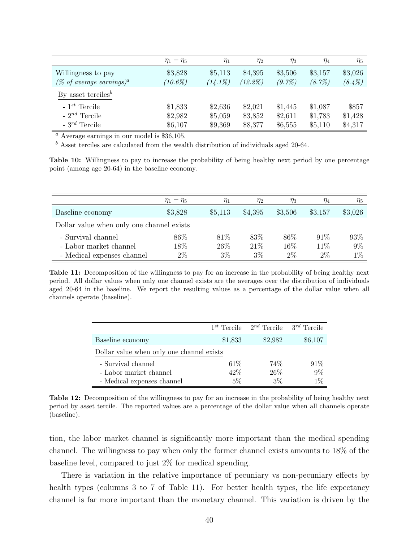|                                             | $\eta_1-\eta_5$ | $\eta_1$   | $\eta_2$   | $\eta_3$  | $\eta_4$  | $\eta_5$  |
|---------------------------------------------|-----------------|------------|------------|-----------|-----------|-----------|
| Willingness to pay                          | \$3,828         | \$5,113    | \$4,395    | \$3,506   | \$3,157   | \$3,026   |
| $(\%$ of average earnings) <sup>a</sup>     | $(10.6\%)$      | $(14.1\%)$ | $(12.2\%)$ | $(9.7\%)$ | $(8.7\%)$ | $(8.4\%)$ |
| By asset terciles <sup><math>b</math></sup> |                 |            |            |           |           |           |
| $-1^{st}$ Tercile                           | \$1,833         | \$2,636    | \$2,021    | \$1,445   | \$1,087   | \$857     |
| - $2^{nd}$ Tercile                          | \$2,982         | \$5,059    | \$3,852    | \$2,611   | \$1,783   | \$1,428   |
| - $3^{rd}$ Tercile                          | \$6,107         | \$9,369    | \$8,377    | \$6,555   | \$5,110   | \$4,317   |

<sup>a</sup> Average earnings in our model is \$36,105.

 $<sup>b</sup>$  Asset terciles are calculated from the wealth distribution of individuals aged 20-64.</sup>

Table 10: Willingness to pay to increase the probability of being healthy next period by one percentage point (among age 20-64) in the baseline economy.

|                                           | $\eta_1 - \eta_5$ | $\eta_1$ | $\eta_2$ | $\eta_3$ | $\eta_4$ | $\eta_5$ |
|-------------------------------------------|-------------------|----------|----------|----------|----------|----------|
| Baseline economy                          | \$3,828           | \$5,113  | \$4,395  | \$3,506  | \$3,157  | \$3,026  |
| Dollar value when only one channel exists |                   |          |          |          |          |          |
| - Survival channel                        | 86%               | 81\%     | 83\%     | 86\%     | 91\%     | 93\%     |
| - Labor market channel                    | 18%               | 26\%     | 21\%     | 16%      | 11\%     | $9\%$    |
| - Medical expenses channel                | 2%                | $3\%$    | $3\%$    | $2\%$    | $2\%$    | $1\%$    |

Table 11: Decomposition of the willingness to pay for an increase in the probability of being healthy next period. All dollar values when only one channel exists are the averages over the distribution of individuals aged 20-64 in the baseline. We report the resulting values as a percentage of the dollar value when all channels operate (baseline).

|                                           | $1^{st}$ Tercile | $2^{nd}$ Tercile $3^{rd}$ Tercile |         |  |  |  |  |
|-------------------------------------------|------------------|-----------------------------------|---------|--|--|--|--|
| Baseline economy                          | \$1,833          | \$2,982                           | \$6,107 |  |  |  |  |
| Dollar value when only one channel exists |                  |                                   |         |  |  |  |  |
| - Survival channel                        | $61\%$           | 74%                               | 91%     |  |  |  |  |
| - Labor market channel                    | 42\%             | 26%                               | 9%      |  |  |  |  |
| - Medical expenses channel                | $5\%$            | $3\%$                             | $1\%$   |  |  |  |  |

Table 12: Decomposition of the willingness to pay for an increase in the probability of being healthy next period by asset tercile. The reported values are a percentage of the dollar value when all channels operate (baseline).

tion, the labor market channel is significantly more important than the medical spending channel. The willingness to pay when only the former channel exists amounts to 18% of the baseline level, compared to just 2% for medical spending.

There is variation in the relative importance of pecuniary vs non-pecuniary effects by health types (columns 3 to 7 of Table 11). For better health types, the life expectancy channel is far more important than the monetary channel. This variation is driven by the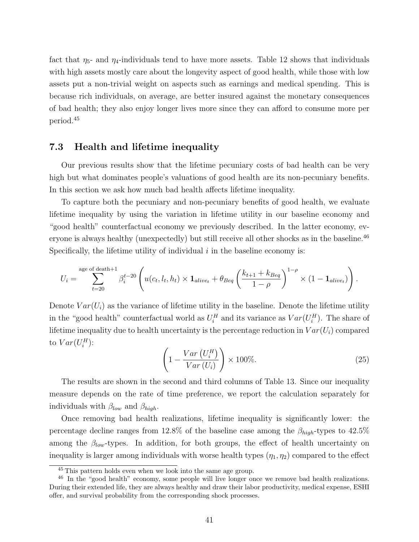fact that  $\eta_5$ - and  $\eta_4$ -individuals tend to have more assets. Table 12 shows that individuals with high assets mostly care about the longevity aspect of good health, while those with low assets put a non-trivial weight on aspects such as earnings and medical spending. This is because rich individuals, on average, are better insured against the monetary consequences of bad health; they also enjoy longer lives more since they can afford to consume more per period.<sup>45</sup>

### 7.3 Health and lifetime inequality

Our previous results show that the lifetime pecuniary costs of bad health can be very high but what dominates people's valuations of good health are its non-pecuniary benefits. In this section we ask how much bad health affects lifetime inequality.

To capture both the pecuniary and non-pecuniary benefits of good health, we evaluate lifetime inequality by using the variation in lifetime utility in our baseline economy and "good health" counterfactual economy we previously described. In the latter economy, everyone is always healthy (unexpectedly) but still receive all other shocks as in the baseline.<sup>46</sup> Specifically, the lifetime utility of individual  $i$  in the baseline economy is:

$$
U_i = \sum_{t=20}^{\text{age of death}+1} \beta_i^{t-20} \left( u(c_t, l_t, h_t) \times \mathbf{1}_{\text{alive}_t} + \theta_{\text{Beq}} \left( \frac{k_{t+1} + k_{\text{Beq}}}{1-\rho} \right)^{1-\rho} \times (1-\mathbf{1}_{\text{alive}_t}) \right).
$$

Denote  $Var(U_i)$  as the variance of lifetime utility in the baseline. Denote the lifetime utility in the "good health" counterfactual world as  $U_i^H$  and its variance as  $Var(U_i^H)$ . The share of lifetime inequality due to health uncertainty is the percentage reduction in  $Var(U_i)$  compared to  $Var(U_i^H)$ :

$$
\left(1 - \frac{Var\left(U_i^H\right)}{Var\left(U_i\right)}\right) \times 100\%.\tag{25}
$$

The results are shown in the second and third columns of Table 13. Since our inequality measure depends on the rate of time preference, we report the calculation separately for individuals with  $\beta_{low}$  and  $\beta_{high}$ .

Once removing bad health realizations, lifetime inequality is significantly lower: the percentage decline ranges from 12.8% of the baseline case among the  $\beta_{high}$ -types to 42.5% among the  $\beta_{low}$ -types. In addition, for both groups, the effect of health uncertainty on inequality is larger among individuals with worse health types  $(\eta_1, \eta_2)$  compared to the effect

<sup>45</sup> This pattern holds even when we look into the same age group.

<sup>46</sup> In the "good health" economy, some people will live longer once we remove bad health realizations. During their extended life, they are always healthy and draw their labor productivity, medical expense, ESHI offer, and survival probability from the corresponding shock processes.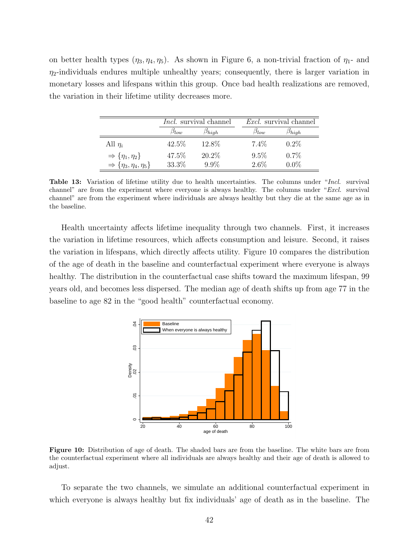on better health types  $(\eta_3, \eta_4, \eta_5)$ . As shown in Figure 6, a non-trivial fraction of  $\eta_1$ - and  $\eta_2$ -individuals endures multiple unhealthy years; consequently, there is larger variation in monetary losses and lifespans within this group. Once bad health realizations are removed, the variation in their lifetime utility decreases more.

|                                            | <i>Incl.</i> survival channel |                | <i>Excl.</i> survival channel |                |
|--------------------------------------------|-------------------------------|----------------|-------------------------------|----------------|
|                                            | $\beta_{low}$                 | $\beta_{hidh}$ | $\mathfrak{I}_{l m n}$        | $\beta_{hidh}$ |
| All $\eta_i$                               | 42.5\%                        | 12.8%          | $7.4\%$                       | $0.2\%$        |
| $\Rightarrow \{\eta_1, \eta_2\}$           | 47.5%                         | 20.2%          | $9.5\%$                       | $0.7\%$        |
| $\Rightarrow$ { $\eta_3, \eta_4, \eta_5$ } | 33.3%                         | $9.9\%$        | $2.6\%$                       | $0.0\%$        |

Table 13: Variation of lifetime utility due to health uncertainties. The columns under "Incl. survival" channel" are from the experiment where everyone is always healthy. The columns under "Excl. survival" channel" are from the experiment where individuals are always healthy but they die at the same age as in the baseline.

Health uncertainty affects lifetime inequality through two channels. First, it increases the variation in lifetime resources, which affects consumption and leisure. Second, it raises the variation in lifespans, which directly affects utility. Figure 10 compares the distribution of the age of death in the baseline and counterfactual experiment where everyone is always healthy. The distribution in the counterfactual case shifts toward the maximum lifespan, 99 years old, and becomes less dispersed. The median age of death shifts up from age 77 in the baseline to age 82 in the "good health" counterfactual economy.



Figure 10: Distribution of age of death. The shaded bars are from the baseline. The white bars are from the counterfactual experiment where all individuals are always healthy and their age of death is allowed to adjust.

To separate the two channels, we simulate an additional counterfactual experiment in which everyone is always healthy but fix individuals' age of death as in the baseline. The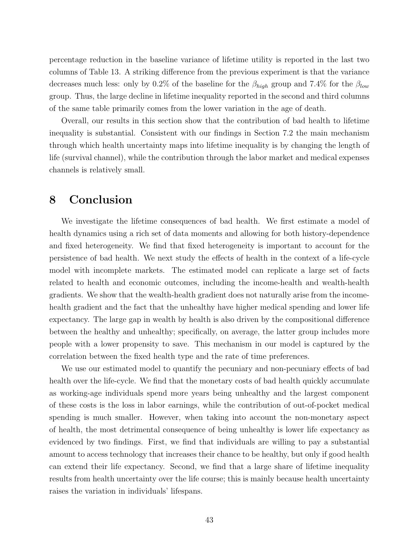percentage reduction in the baseline variance of lifetime utility is reported in the last two columns of Table 13. A striking difference from the previous experiment is that the variance decreases much less: only by 0.2% of the baseline for the  $\beta_{high}$  group and 7.4% for the  $\beta_{low}$ group. Thus, the large decline in lifetime inequality reported in the second and third columns of the same table primarily comes from the lower variation in the age of death.

Overall, our results in this section show that the contribution of bad health to lifetime inequality is substantial. Consistent with our findings in Section 7.2 the main mechanism through which health uncertainty maps into lifetime inequality is by changing the length of life (survival channel), while the contribution through the labor market and medical expenses channels is relatively small.

## 8 Conclusion

We investigate the lifetime consequences of bad health. We first estimate a model of health dynamics using a rich set of data moments and allowing for both history-dependence and fixed heterogeneity. We find that fixed heterogeneity is important to account for the persistence of bad health. We next study the effects of health in the context of a life-cycle model with incomplete markets. The estimated model can replicate a large set of facts related to health and economic outcomes, including the income-health and wealth-health gradients. We show that the wealth-health gradient does not naturally arise from the incomehealth gradient and the fact that the unhealthy have higher medical spending and lower life expectancy. The large gap in wealth by health is also driven by the compositional difference between the healthy and unhealthy; specifically, on average, the latter group includes more people with a lower propensity to save. This mechanism in our model is captured by the correlation between the fixed health type and the rate of time preferences.

We use our estimated model to quantify the pecuniary and non-pecuniary effects of bad health over the life-cycle. We find that the monetary costs of bad health quickly accumulate as working-age individuals spend more years being unhealthy and the largest component of these costs is the loss in labor earnings, while the contribution of out-of-pocket medical spending is much smaller. However, when taking into account the non-monetary aspect of health, the most detrimental consequence of being unhealthy is lower life expectancy as evidenced by two findings. First, we find that individuals are willing to pay a substantial amount to access technology that increases their chance to be healthy, but only if good health can extend their life expectancy. Second, we find that a large share of lifetime inequality results from health uncertainty over the life course; this is mainly because health uncertainty raises the variation in individuals' lifespans.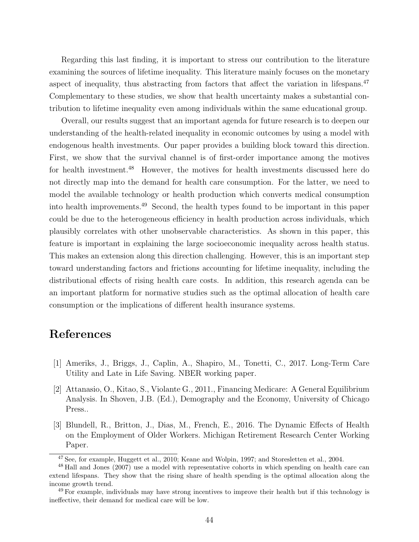Regarding this last finding, it is important to stress our contribution to the literature examining the sources of lifetime inequality. This literature mainly focuses on the monetary aspect of inequality, thus abstracting from factors that affect the variation in lifespans.<sup>47</sup> Complementary to these studies, we show that health uncertainty makes a substantial contribution to lifetime inequality even among individuals within the same educational group.

Overall, our results suggest that an important agenda for future research is to deepen our understanding of the health-related inequality in economic outcomes by using a model with endogenous health investments. Our paper provides a building block toward this direction. First, we show that the survival channel is of first-order importance among the motives for health investment.<sup>48</sup> However, the motives for health investments discussed here do not directly map into the demand for health care consumption. For the latter, we need to model the available technology or health production which converts medical consumption into health improvements.<sup>49</sup> Second, the health types found to be important in this paper could be due to the heterogeneous efficiency in health production across individuals, which plausibly correlates with other unobservable characteristics. As shown in this paper, this feature is important in explaining the large socioeconomic inequality across health status. This makes an extension along this direction challenging. However, this is an important step toward understanding factors and frictions accounting for lifetime inequality, including the distributional effects of rising health care costs. In addition, this research agenda can be an important platform for normative studies such as the optimal allocation of health care consumption or the implications of different health insurance systems.

## References

- [1] Ameriks, J., Briggs, J., Caplin, A., Shapiro, M., Tonetti, C., 2017. Long-Term Care Utility and Late in Life Saving. NBER working paper.
- [2] Attanasio, O., Kitao, S., Violante G., 2011., Financing Medicare: A General Equilibrium Analysis. In Shoven, J.B. (Ed.), Demography and the Economy, University of Chicago Press..
- [3] Blundell, R., Britton, J., Dias, M., French, E., 2016. The Dynamic Effects of Health on the Employment of Older Workers. Michigan Retirement Research Center Working Paper.

<sup>47</sup> See, for example, Huggett et al., 2010; Keane and Wolpin, 1997; and Storesletten et al., 2004.

<sup>48</sup> Hall and Jones (2007) use a model with representative cohorts in which spending on health care can extend lifespans. They show that the rising share of health spending is the optimal allocation along the income growth trend.

<sup>49</sup> For example, individuals may have strong incentives to improve their health but if this technology is ineffective, their demand for medical care will be low.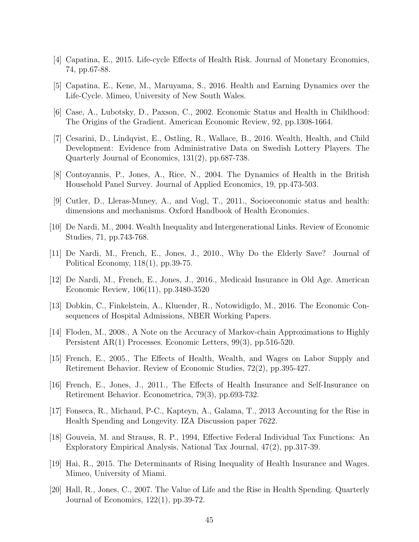- [4] Capatina, E., 2015. Life-cycle Effects of Health Risk. Journal of Monetary Economics, 74, pp.67-88.
- [5] Capatina, E., Kene, M., Maruyama, S., 2016. Health and Earning Dynamics over the Life-Cycle. Mimeo, University of New South Wales.
- [6] Case, A., Lubotsky, D., Paxson, C., 2002. Economic Status and Health in Childhood: The Origins of the Gradient. American Economic Review, 92, pp.1308-1664.
- [7] Cesarini, D., Lindqvist, E., Ostling, R., Wallace, B., 2016. Wealth, Health, and Child Development: Evidence from Administrative Data on Swedish Lottery Players. The Quarterly Journal of Economics, 131(2), pp.687-738.
- [8] Contoyannis, P., Jones, A., Rice, N., 2004. The Dynamics of Health in the British Household Panel Survey. Journal of Applied Economics, 19, pp.473-503.
- [9] Cutler, D., Lleras-Muney, A., and Vogl, T., 2011., Socioeconomic status and health: dimensions and mechanisms. Oxford Handbook of Health Economics.
- [10] De Nardi, M., 2004. Wealth Inequality and Intergenerational Links. Review of Economic Studies, 71, pp.743-768.
- [11] De Nardi, M., French, E., Jones, J., 2010., Why Do the Elderly Save? Journal of Political Economy, 118(1), pp.39-75.
- [12] De Nardi, M., French, E., Jones, J., 2016., Medicaid Insurance in Old Age. American Economic Review, 106(11), pp.3480-3520
- [13] Dobkin, C., Finkelstein, A., Kluender, R., Notowidigdo, M., 2016. The Economic Consequences of Hospital Admissions, NBER Working Papers.
- [14] Floden, M., 2008., A Note on the Accuracy of Markov-chain Approximations to Highly Persistent AR(1) Processes. Economic Letters, 99(3), pp.516-520.
- [15] French, E., 2005., The Effects of Health, Wealth, and Wages on Labor Supply and Retirement Behavior. Review of Economic Studies, 72(2), pp.395-427.
- [16] French, E., Jones, J., 2011., The Effects of Health Insurance and Self-Insurance on Retirement Behavior. Econometrica, 79(3), pp.693-732.
- [17] Fonseca, R., Michaud, P-C., Kapteyn, A., Galama, T., 2013 Accounting for the Rise in Health Spending and Longevity. IZA Discussion paper 7622.
- [18] Gouveia, M. and Strauss, R. P., 1994, Effective Federal Individual Tax Functions: An Exploratory Empirical Analysis, National Tax Journal, 47(2), pp.317-39.
- [19] Hai, R., 2015. The Determinants of Rising Inequality of Health Insurance and Wages. Mimeo, University of Miami.
- [20] Hall, R., Jones, C., 2007. The Value of Life and the Rise in Health Spending. Quarterly Journal of Economics, 122(1), pp.39-72.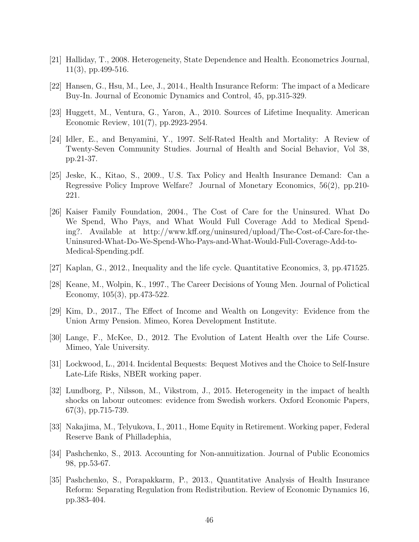- [21] Halliday, T., 2008. Heterogeneity, State Dependence and Health. Econometrics Journal, 11(3), pp.499-516.
- [22] Hansen, G., Hsu, M., Lee, J., 2014., Health Insurance Reform: The impact of a Medicare Buy-In. Journal of Economic Dynamics and Control, 45, pp.315-329.
- [23] Huggett, M., Ventura, G., Yaron, A., 2010. Sources of Lifetime Inequality. American Economic Review, 101(7), pp.2923-2954.
- [24] Idler, E., and Benyamini, Y., 1997. Self-Rated Health and Mortality: A Review of Twenty-Seven Community Studies. Journal of Health and Social Behavior, Vol 38, pp.21-37.
- [25] Jeske, K., Kitao, S., 2009., U.S. Tax Policy and Health Insurance Demand: Can a Regressive Policy Improve Welfare? Journal of Monetary Economics, 56(2), pp.210- 221.
- [26] Kaiser Family Foundation, 2004., The Cost of Care for the Uninsured. What Do We Spend, Who Pays, and What Would Full Coverage Add to Medical Spending?. Available at http://www.kff.org/uninsured/upload/The-Cost-of-Care-for-the-Uninsured-What-Do-We-Spend-Who-Pays-and-What-Would-Full-Coverage-Add-to-Medical-Spending.pdf.
- [27] Kaplan, G., 2012., Inequality and the life cycle. Quantitative Economics, 3, pp.471525.
- [28] Keane, M., Wolpin, K., 1997., The Career Decisions of Young Men. Journal of Polictical Economy, 105(3), pp.473-522.
- [29] Kim, D., 2017., The Effect of Income and Wealth on Longevity: Evidence from the Union Army Pension. Mimeo, Korea Development Institute.
- [30] Lange, F., McKee, D., 2012. The Evolution of Latent Health over the Life Course. Mimeo, Yale University.
- [31] Lockwood, L., 2014. Incidental Bequests: Bequest Motives and the Choice to Self-Insure Late-Life Risks, NBER working paper.
- [32] Lundborg, P., Nilsson, M., Vikstrom, J., 2015. Heterogeneity in the impact of health shocks on labour outcomes: evidence from Swedish workers. Oxford Economic Papers, 67(3), pp.715-739.
- [33] Nakajima, M., Telyukova, I., 2011., Home Equity in Retirement. Working paper, Federal Reserve Bank of Philladephia,
- [34] Pashchenko, S., 2013. Accounting for Non-annuitization. Journal of Public Economics 98, pp.53-67.
- [35] Pashchenko, S., Porapakkarm, P., 2013., Quantitative Analysis of Health Insurance Reform: Separating Regulation from Redistribution. Review of Economic Dynamics 16, pp.383-404.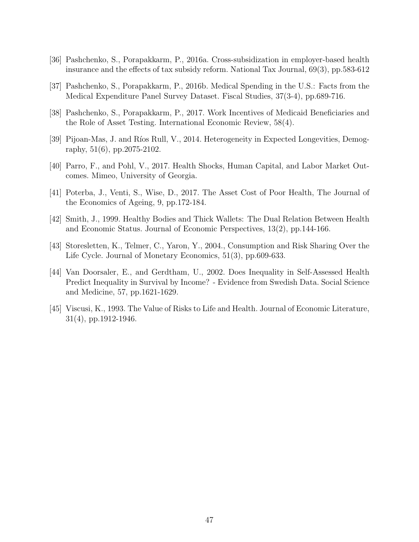- [36] Pashchenko, S., Porapakkarm, P., 2016a. Cross-subsidization in employer-based health insurance and the effects of tax subsidy reform. National Tax Journal, 69(3), pp.583-612
- [37] Pashchenko, S., Porapakkarm, P., 2016b. Medical Spending in the U.S.: Facts from the Medical Expenditure Panel Survey Dataset. Fiscal Studies, 37(3-4), pp.689-716.
- [38] Pashchenko, S., Porapakkarm, P., 2017. Work Incentives of Medicaid Beneficiaries and the Role of Asset Testing. International Economic Review, 58(4).
- [39] Pijoan-Mas, J. and Ríos Rull, V., 2014. Heterogeneity in Expected Longevities, Demography, 51(6), pp.2075-2102.
- [40] Parro, F., and Pohl, V., 2017. Health Shocks, Human Capital, and Labor Market Outcomes. Mimeo, University of Georgia.
- [41] Poterba, J., Venti, S., Wise, D., 2017. The Asset Cost of Poor Health, The Journal of the Economics of Ageing, 9, pp.172-184.
- [42] Smith, J., 1999. Healthy Bodies and Thick Wallets: The Dual Relation Between Health and Economic Status. Journal of Economic Perspectives, 13(2), pp.144-166.
- [43] Storesletten, K., Telmer, C., Yaron, Y., 2004., Consumption and Risk Sharing Over the Life Cycle. Journal of Monetary Economics, 51(3), pp.609-633.
- [44] Van Doorsaler, E., and Gerdtham, U., 2002. Does Inequality in Self-Assessed Health Predict Inequality in Survival by Income? - Evidence from Swedish Data. Social Science and Medicine, 57, pp.1621-1629.
- [45] Viscusi, K., 1993. The Value of Risks to Life and Health. Journal of Economic Literature, 31(4), pp.1912-1946.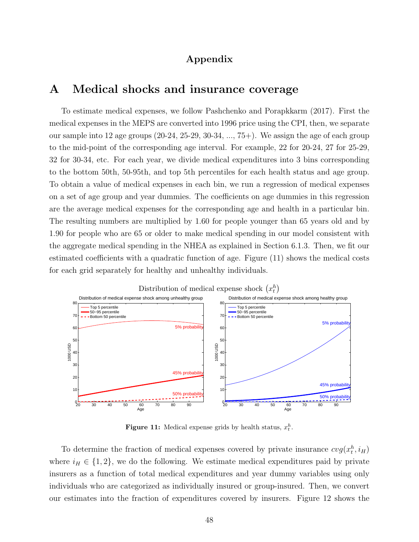## Appendix

## A Medical shocks and insurance coverage

To estimate medical expenses, we follow Pashchenko and Porapkkarm (2017). First the medical expenses in the MEPS are converted into 1996 price using the CPI, then, we separate our sample into 12 age groups  $(20-24, 25-29, 30-34, \ldots, 75+)$ . We assign the age of each group to the mid-point of the corresponding age interval. For example, 22 for 20-24, 27 for 25-29, 32 for 30-34, etc. For each year, we divide medical expenditures into 3 bins corresponding to the bottom 50th, 50-95th, and top 5th percentiles for each health status and age group. To obtain a value of medical expenses in each bin, we run a regression of medical expenses on a set of age group and year dummies. The coefficients on age dummies in this regression are the average medical expenses for the corresponding age and health in a particular bin. The resulting numbers are multiplied by 1.60 for people younger than 65 years old and by 1.90 for people who are 65 or older to make medical spending in our model consistent with the aggregate medical spending in the NHEA as explained in Section 6.1.3. Then, we fit our estimated coefficients with a quadratic function of age. Figure (11) shows the medical costs for each grid separately for healthy and unhealthy individuals.



**Figure 11:** Medical expense grids by health status,  $x_t^h$ .

To determine the fraction of medical expenses covered by private insurance  $\cos(x_t^h, i_H)$ where  $i_H \in \{1, 2\}$ , we do the following. We estimate medical expenditures paid by private insurers as a function of total medical expenditures and year dummy variables using only individuals who are categorized as individually insured or group-insured. Then, we convert our estimates into the fraction of expenditures covered by insurers. Figure 12 shows the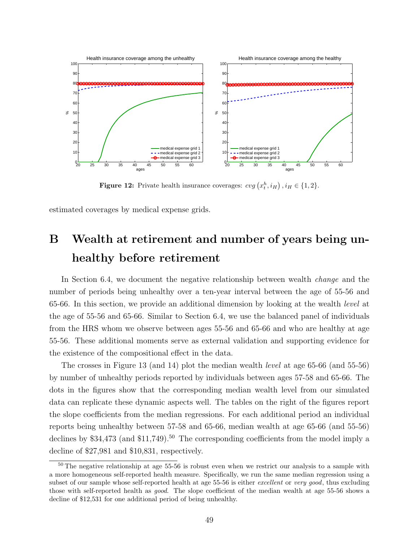

**Figure 12:** Private health insurance coverages:  $cvg(x_t^h, i_H), i_H \in \{1, 2\}$ .

estimated coverages by medical expense grids.

# B Wealth at retirement and number of years being unhealthy before retirement

In Section 6.4, we document the negative relationship between wealth *change* and the number of periods being unhealthy over a ten-year interval between the age of 55-56 and 65-66. In this section, we provide an additional dimension by looking at the wealth level at the age of 55-56 and 65-66. Similar to Section 6.4, we use the balanced panel of individuals from the HRS whom we observe between ages 55-56 and 65-66 and who are healthy at age 55-56. These additional moments serve as external validation and supporting evidence for the existence of the compositional effect in the data.

The crosses in Figure 13 (and 14) plot the median wealth level at age 65-66 (and 55-56) by number of unhealthy periods reported by individuals between ages 57-58 and 65-66. The dots in the figures show that the corresponding median wealth level from our simulated data can replicate these dynamic aspects well. The tables on the right of the figures report the slope coefficients from the median regressions. For each additional period an individual reports being unhealthy between 57-58 and 65-66, median wealth at age 65-66 (and 55-56) declines by  $$34,473$  (and  $$11,749$ ).<sup>50</sup> The corresponding coefficients from the model imply a decline of \$27,981 and \$10,831, respectively.

<sup>&</sup>lt;sup>50</sup> The negative relationship at age 55-56 is robust even when we restrict our analysis to a sample with a more homogeneous self-reported health measure. Specifically, we run the same median regression using a subset of our sample whose self-reported health at age 55-56 is either *excellent* or very good, thus excluding those with self-reported health as good. The slope coefficient of the median wealth at age 55-56 shows a decline of \$12,531 for one additional period of being unhealthy.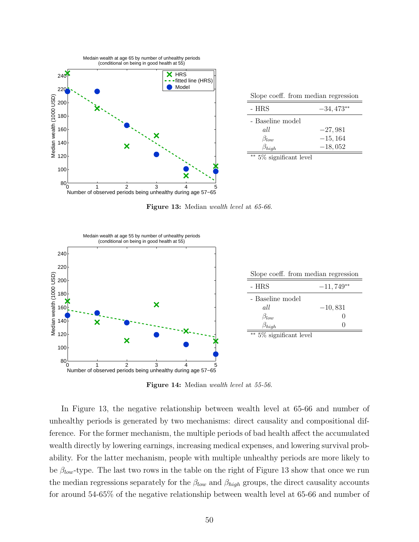

| Slope coeff. from median regression |             |  |
|-------------------------------------|-------------|--|
| - HRS                               | $-34,473**$ |  |
| - Baseline model                    |             |  |
| all                                 | $-27,981$   |  |
| $\beta_{low}$                       | $-15, 164$  |  |
| $\beta_{high}$                      | $-18,052$   |  |
| $** E07$ significant lavel          |             |  |

∗∗ 5% significant level

Figure 13: Median wealth level at 65-66.



| Slope coeff. from median regression |             |  |
|-------------------------------------|-------------|--|
| - HRS                               | $-11,749**$ |  |
| - Baseline model                    |             |  |
| all                                 | $-10,831$   |  |
| $\beta_{low}$                       |             |  |
| $\beta_{high}$                      |             |  |
| ** 5% significant level             |             |  |

Figure 14: Median wealth level at 55-56.

In Figure 13, the negative relationship between wealth level at 65-66 and number of unhealthy periods is generated by two mechanisms: direct causality and compositional difference. For the former mechanism, the multiple periods of bad health affect the accumulated wealth directly by lowering earnings, increasing medical expenses, and lowering survival probability. For the latter mechanism, people with multiple unhealthy periods are more likely to be  $\beta_{low}$ -type. The last two rows in the table on the right of Figure 13 show that once we run the median regressions separately for the  $\beta_{low}$  and  $\beta_{high}$  groups, the direct causality accounts for around 54-65% of the negative relationship between wealth level at 65-66 and number of